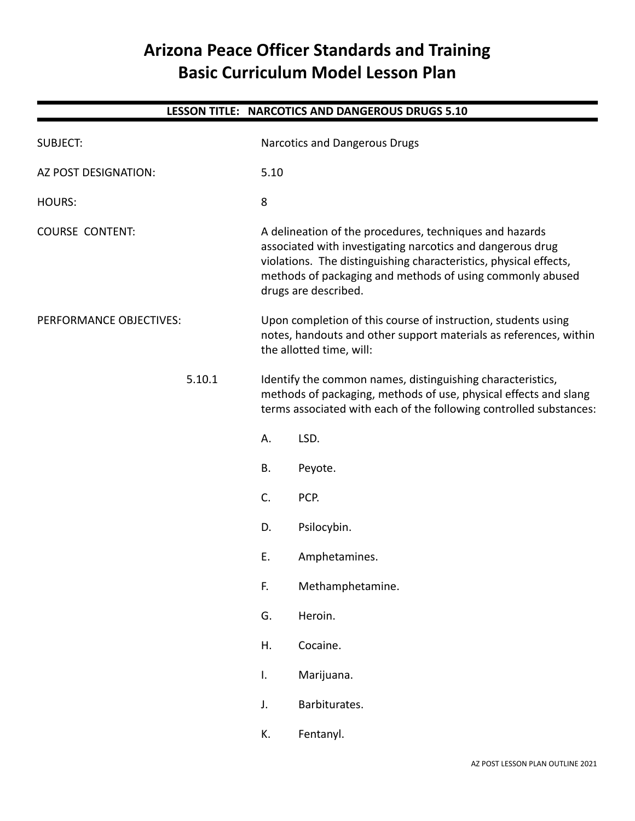# **Arizona Peace Officer Standards and Training Basic Curriculum Model Lesson Plan**

| <b>SUBJECT:</b>         |        | Narcotics and Dangerous Drugs                                                                                                                                                                                                                                                   |                                                                                                                                                                                                      |  |
|-------------------------|--------|---------------------------------------------------------------------------------------------------------------------------------------------------------------------------------------------------------------------------------------------------------------------------------|------------------------------------------------------------------------------------------------------------------------------------------------------------------------------------------------------|--|
| AZ POST DESIGNATION:    |        | 5.10                                                                                                                                                                                                                                                                            |                                                                                                                                                                                                      |  |
| <b>HOURS:</b>           |        | $\,8\,$                                                                                                                                                                                                                                                                         |                                                                                                                                                                                                      |  |
| <b>COURSE CONTENT:</b>  |        | A delineation of the procedures, techniques and hazards<br>associated with investigating narcotics and dangerous drug<br>violations. The distinguishing characteristics, physical effects,<br>methods of packaging and methods of using commonly abused<br>drugs are described. |                                                                                                                                                                                                      |  |
| PERFORMANCE OBJECTIVES: |        | Upon completion of this course of instruction, students using<br>notes, handouts and other support materials as references, within<br>the allotted time, will:                                                                                                                  |                                                                                                                                                                                                      |  |
|                         | 5.10.1 |                                                                                                                                                                                                                                                                                 | Identify the common names, distinguishing characteristics,<br>methods of packaging, methods of use, physical effects and slang<br>terms associated with each of the following controlled substances: |  |
|                         |        | А.                                                                                                                                                                                                                                                                              | LSD.                                                                                                                                                                                                 |  |
|                         |        | <b>B.</b>                                                                                                                                                                                                                                                                       | Peyote.                                                                                                                                                                                              |  |
|                         |        | C.                                                                                                                                                                                                                                                                              | PCP.                                                                                                                                                                                                 |  |
|                         |        | D.                                                                                                                                                                                                                                                                              | Psilocybin.                                                                                                                                                                                          |  |
|                         |        | E.                                                                                                                                                                                                                                                                              | Amphetamines.                                                                                                                                                                                        |  |
|                         |        | F.                                                                                                                                                                                                                                                                              | Methamphetamine.                                                                                                                                                                                     |  |
|                         |        | G.                                                                                                                                                                                                                                                                              | Heroin.                                                                                                                                                                                              |  |
|                         |        | Η.                                                                                                                                                                                                                                                                              | Cocaine.                                                                                                                                                                                             |  |
|                         |        | I.                                                                                                                                                                                                                                                                              | Marijuana.                                                                                                                                                                                           |  |
|                         |        | J.                                                                                                                                                                                                                                                                              | Barbiturates.                                                                                                                                                                                        |  |
|                         |        | K.                                                                                                                                                                                                                                                                              | Fentanyl.                                                                                                                                                                                            |  |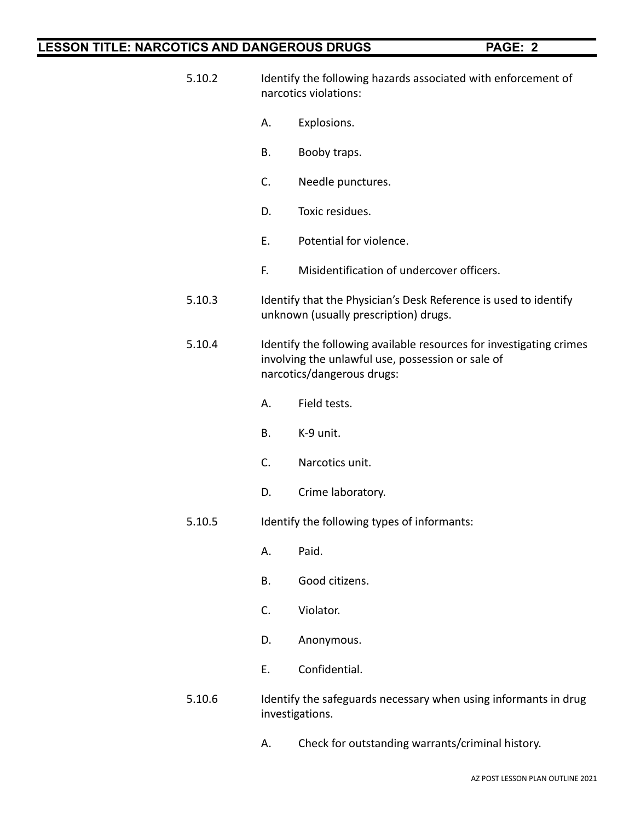- 5.10.2 Identify the following hazards associated with enforcement of narcotics violations:
	- A. Explosions.
	- B. Booby traps.
	- C. Needle punctures.
	- D. Toxic residues.
	- E. Potential for violence.
	- F. Misidentification of undercover officers.
- 5.10.3 Identify that the Physician's Desk Reference is used to identify unknown (usually prescription) drugs.
- 5.10.4 Identify the following available resources for investigating crimes involving the unlawful use, possession or sale of narcotics/dangerous drugs:
	- A. Field tests.
	- B. K-9 unit.
	- C. Narcotics unit.
	- D. Crime laboratory.
- 5.10.5 Identify the following types of informants:
	- A. Paid.
	- B. Good citizens.
	- C. Violator.
	- D. Anonymous.
	- E. Confidential.
- 5.10.6 Identify the safeguards necessary when using informants in drug investigations.
	- A. Check for outstanding warrants/criminal history.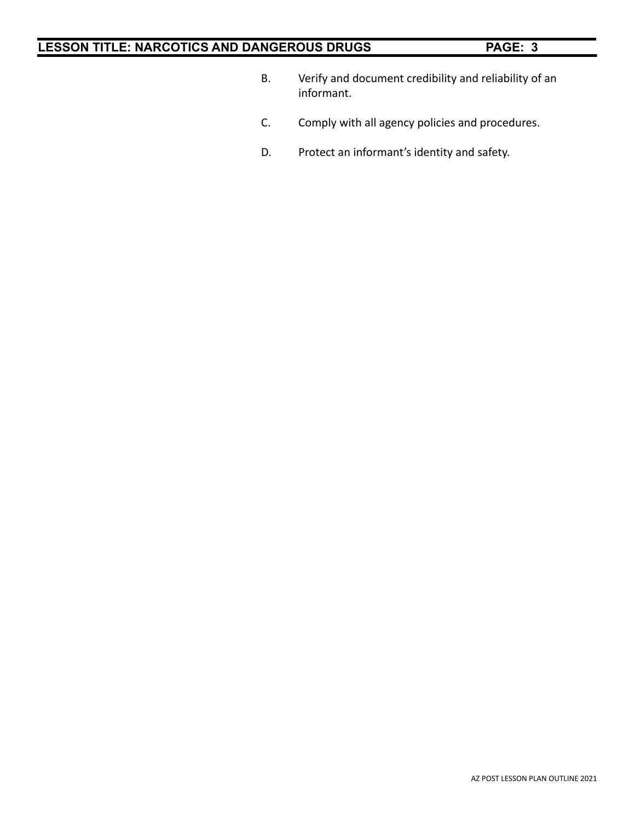- B. Verify and document credibility and reliability of an informant.
- C. Comply with all agency policies and procedures.
- D. Protect an informant's identity and safety.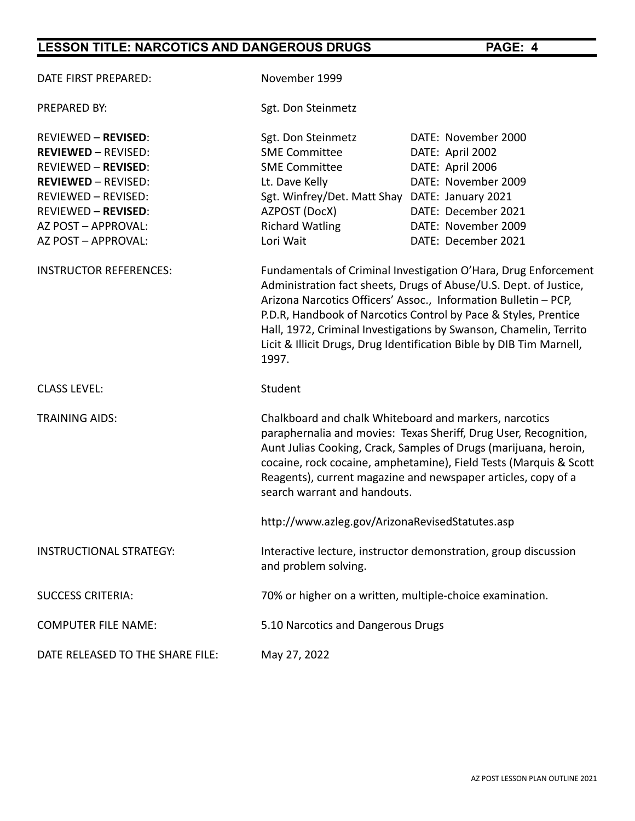| DATE FIRST PREPARED:                                                                                                                                                                                                    | November 1999                                                                                                                                                                                                                                                                                                                                                                                                                    |                                                                                                                                                                                                                                                                                                                                      |  |
|-------------------------------------------------------------------------------------------------------------------------------------------------------------------------------------------------------------------------|----------------------------------------------------------------------------------------------------------------------------------------------------------------------------------------------------------------------------------------------------------------------------------------------------------------------------------------------------------------------------------------------------------------------------------|--------------------------------------------------------------------------------------------------------------------------------------------------------------------------------------------------------------------------------------------------------------------------------------------------------------------------------------|--|
| PREPARED BY:                                                                                                                                                                                                            | Sgt. Don Steinmetz                                                                                                                                                                                                                                                                                                                                                                                                               |                                                                                                                                                                                                                                                                                                                                      |  |
| <b>REVIEWED - REVISED:</b><br><b>REVIEWED - REVISED:</b><br><b>REVIEWED - REVISED:</b><br><b>REVIEWED - REVISED:</b><br>REVIEWED - REVISED:<br><b>REVIEWED - REVISED:</b><br>AZ POST - APPROVAL:<br>AZ POST - APPROVAL: | Sgt. Don Steinmetz<br><b>SME Committee</b><br><b>SME Committee</b><br>Lt. Dave Kelly<br>Sgt. Winfrey/Det. Matt Shay DATE: January 2021<br>AZPOST (DocX)<br><b>Richard Watling</b><br>Lori Wait                                                                                                                                                                                                                                   | DATE: November 2000<br>DATE: April 2002<br>DATE: April 2006<br>DATE: November 2009<br>DATE: December 2021<br>DATE: November 2009<br>DATE: December 2021                                                                                                                                                                              |  |
| <b>INSTRUCTOR REFERENCES:</b>                                                                                                                                                                                           | Fundamentals of Criminal Investigation O'Hara, Drug Enforcement<br>Administration fact sheets, Drugs of Abuse/U.S. Dept. of Justice,<br>Arizona Narcotics Officers' Assoc., Information Bulletin - PCP,<br>P.D.R, Handbook of Narcotics Control by Pace & Styles, Prentice<br>Hall, 1972, Criminal Investigations by Swanson, Chamelin, Territo<br>Licit & Illicit Drugs, Drug Identification Bible by DIB Tim Marnell,<br>1997. |                                                                                                                                                                                                                                                                                                                                      |  |
| <b>CLASS LEVEL:</b>                                                                                                                                                                                                     | Student                                                                                                                                                                                                                                                                                                                                                                                                                          |                                                                                                                                                                                                                                                                                                                                      |  |
| <b>TRAINING AIDS:</b><br>search warrant and handouts.                                                                                                                                                                   |                                                                                                                                                                                                                                                                                                                                                                                                                                  | Chalkboard and chalk Whiteboard and markers, narcotics<br>paraphernalia and movies: Texas Sheriff, Drug User, Recognition,<br>Aunt Julias Cooking, Crack, Samples of Drugs (marijuana, heroin,<br>cocaine, rock cocaine, amphetamine), Field Tests (Marquis & Scott<br>Reagents), current magazine and newspaper articles, copy of a |  |
|                                                                                                                                                                                                                         | http://www.azleg.gov/ArizonaRevisedStatutes.asp                                                                                                                                                                                                                                                                                                                                                                                  |                                                                                                                                                                                                                                                                                                                                      |  |
| <b>INSTRUCTIONAL STRATEGY:</b>                                                                                                                                                                                          | Interactive lecture, instructor demonstration, group discussion<br>and problem solving.                                                                                                                                                                                                                                                                                                                                          |                                                                                                                                                                                                                                                                                                                                      |  |
| <b>SUCCESS CRITERIA:</b>                                                                                                                                                                                                | 70% or higher on a written, multiple-choice examination.                                                                                                                                                                                                                                                                                                                                                                         |                                                                                                                                                                                                                                                                                                                                      |  |
| <b>COMPUTER FILE NAME:</b>                                                                                                                                                                                              | 5.10 Narcotics and Dangerous Drugs                                                                                                                                                                                                                                                                                                                                                                                               |                                                                                                                                                                                                                                                                                                                                      |  |
| DATE RELEASED TO THE SHARE FILE:                                                                                                                                                                                        | May 27, 2022                                                                                                                                                                                                                                                                                                                                                                                                                     |                                                                                                                                                                                                                                                                                                                                      |  |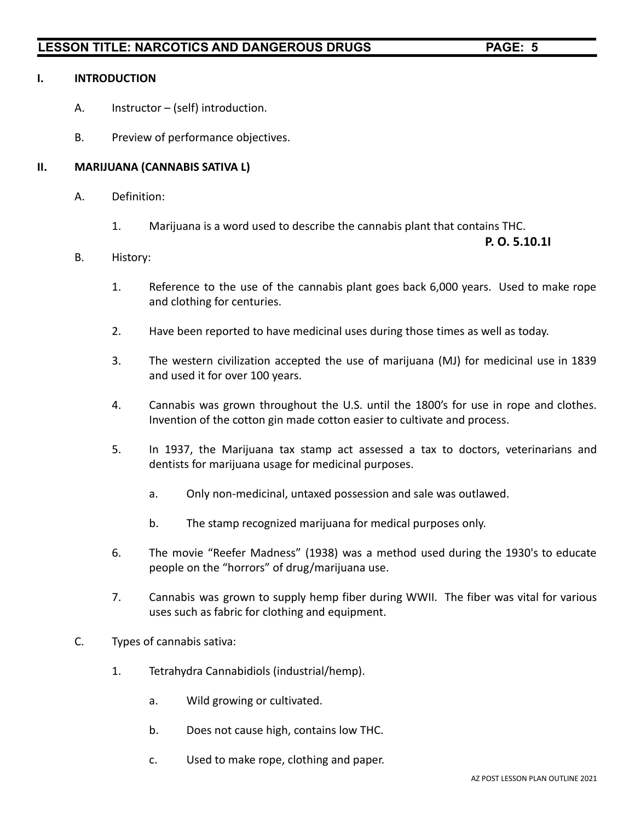#### **I. INTRODUCTION**

- A. Instructor (self) introduction.
- B. Preview of performance objectives.

#### **II. MARIJUANA (CANNABIS SATIVA L)**

- A. Definition:
	- 1. Marijuana is a word used to describe the cannabis plant that contains THC.

**P. O. 5.10.1I**

### B. History:

- 1. Reference to the use of the cannabis plant goes back 6,000 years. Used to make rope and clothing for centuries.
- 2. Have been reported to have medicinal uses during those times as well as today.
- 3. The western civilization accepted the use of marijuana (MJ) for medicinal use in 1839 and used it for over 100 years.
- 4. Cannabis was grown throughout the U.S. until the 1800's for use in rope and clothes. Invention of the cotton gin made cotton easier to cultivate and process.
- 5. In 1937, the Marijuana tax stamp act assessed a tax to doctors, veterinarians and dentists for marijuana usage for medicinal purposes.
	- a. Only non-medicinal, untaxed possession and sale was outlawed.
	- b. The stamp recognized marijuana for medical purposes only.
- 6. The movie "Reefer Madness" (1938) was a method used during the 1930's to educate people on the "horrors" of drug/marijuana use.
- 7. Cannabis was grown to supply hemp fiber during WWII. The fiber was vital for various uses such as fabric for clothing and equipment.
- C. Types of cannabis sativa:
	- 1. Tetrahydra Cannabidiols (industrial/hemp).
		- a. Wild growing or cultivated.
		- b. Does not cause high, contains low THC.
		- c. Used to make rope, clothing and paper.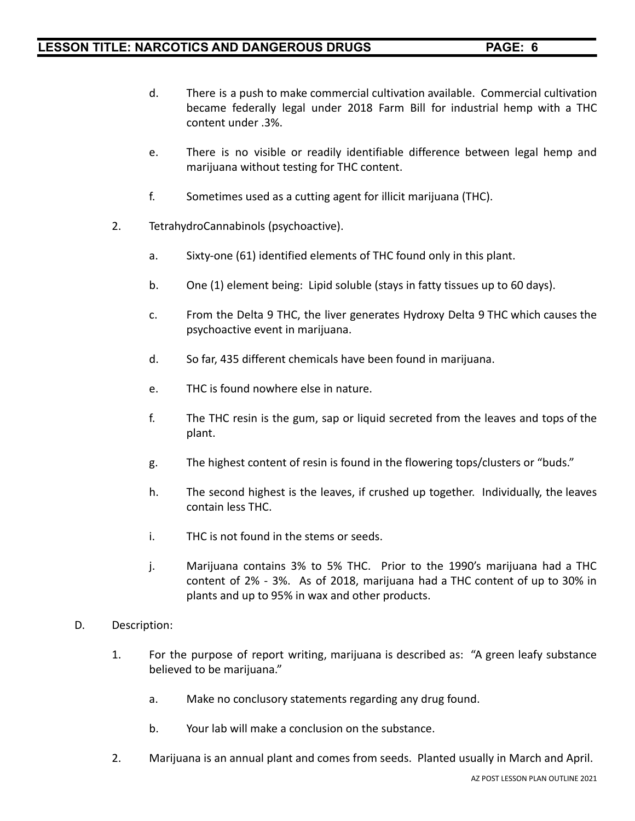- d. There is a push to make commercial cultivation available. Commercial cultivation became federally legal under 2018 Farm Bill for industrial hemp with a THC content under .3%.
- e. There is no visible or readily identifiable difference between legal hemp and marijuana without testing for THC content.
- f. Sometimes used as a cutting agent for illicit marijuana (THC).
- 2. TetrahydroCannabinols (psychoactive).
	- a. Sixty-one (61) identified elements of THC found only in this plant.
	- b. One (1) element being: Lipid soluble (stays in fatty tissues up to 60 days).
	- c. From the Delta 9 THC, the liver generates Hydroxy Delta 9 THC which causes the psychoactive event in marijuana.
	- d. So far, 435 different chemicals have been found in marijuana.
	- e. THC is found nowhere else in nature.
	- f. The THC resin is the gum, sap or liquid secreted from the leaves and tops of the plant.
	- g. The highest content of resin is found in the flowering tops/clusters or "buds."
	- h. The second highest is the leaves, if crushed up together. Individually, the leaves contain less THC.
	- i. THC is not found in the stems or seeds.
	- j. Marijuana contains 3% to 5% THC. Prior to the 1990's marijuana had a THC content of 2% - 3%. As of 2018, marijuana had a THC content of up to 30% in plants and up to 95% in wax and other products.
- D. Description:
	- 1. For the purpose of report writing, marijuana is described as: "A green leafy substance believed to be marijuana."
		- a. Make no conclusory statements regarding any drug found.
		- b. Your lab will make a conclusion on the substance.
	- 2. Marijuana is an annual plant and comes from seeds. Planted usually in March and April.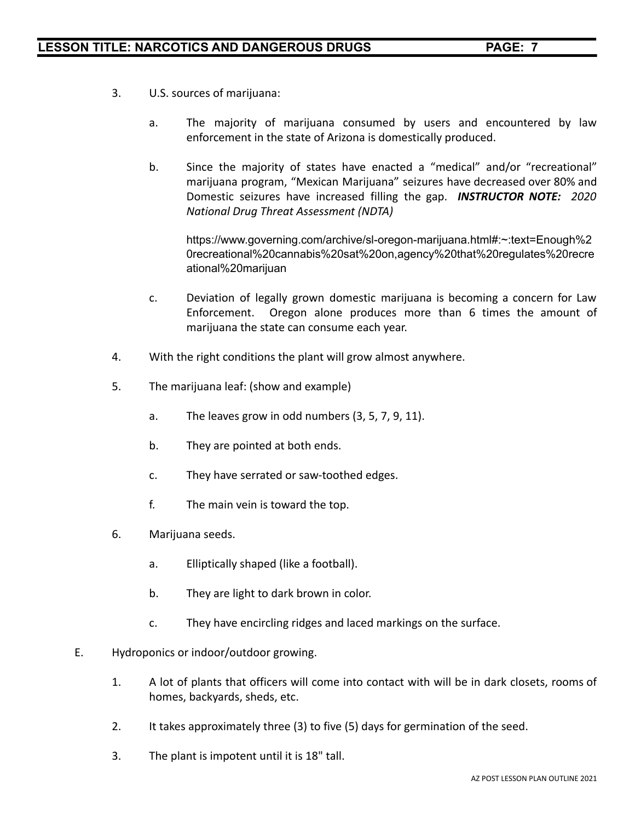- 3. U.S. sources of marijuana:
	- a. The majority of marijuana consumed by users and encountered by law enforcement in the state of Arizona is domestically produced.
	- b. Since the majority of states have enacted a "medical" and/or "recreational" marijuana program, "Mexican Marijuana" seizures have decreased over 80% and Domestic seizures have increased filling the gap. *INSTRUCTOR NOTE: 2020 National Drug Threat Assessment (NDTA)*

https://www.governing.com/archive/sl-oregon-marijuana.html#:~:text=Enough%2 0recreational%20cannabis%20sat%20on,agency%20that%20regulates%20recre ational%20marijuan

- c. Deviation of legally grown domestic marijuana is becoming a concern for Law Enforcement. Oregon alone produces more than 6 times the amount of marijuana the state can consume each year.
- 4. With the right conditions the plant will grow almost anywhere.
- 5. The marijuana leaf: (show and example)
	- a. The leaves grow in odd numbers (3, 5, 7, 9, 11).
	- b. They are pointed at both ends.
	- c. They have serrated or saw-toothed edges.
	- f. The main vein is toward the top.
- 6. Marijuana seeds.
	- a. Elliptically shaped (like a football).
	- b. They are light to dark brown in color.
	- c. They have encircling ridges and laced markings on the surface.
- E. Hydroponics or indoor/outdoor growing.
	- 1. A lot of plants that officers will come into contact with will be in dark closets, rooms of homes, backyards, sheds, etc.
	- 2. It takes approximately three (3) to five (5) days for germination of the seed.
	- 3. The plant is impotent until it is 18" tall.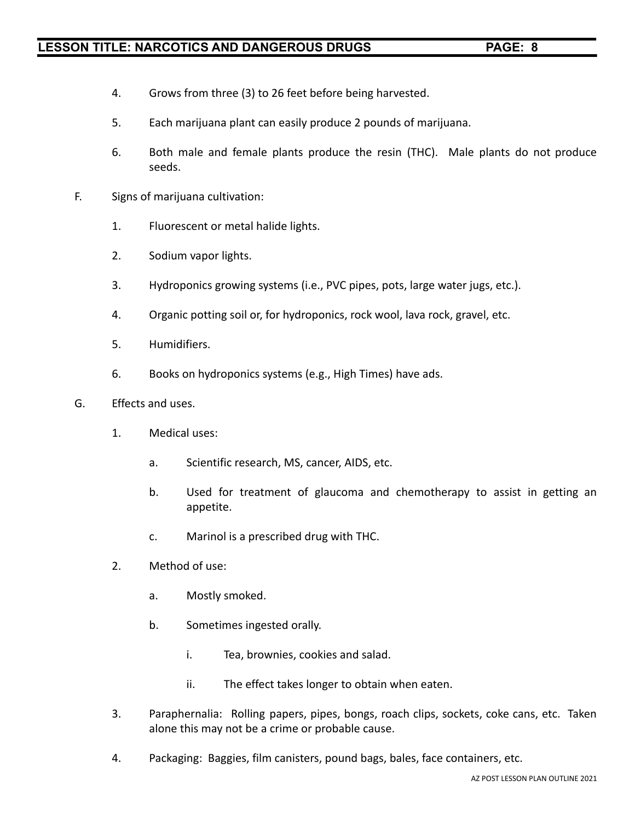- 4. Grows from three (3) to 26 feet before being harvested.
- 5. Each marijuana plant can easily produce 2 pounds of marijuana.
- 6. Both male and female plants produce the resin (THC). Male plants do not produce seeds.
- F. Signs of marijuana cultivation:
	- 1. Fluorescent or metal halide lights.
	- 2. Sodium vapor lights.
	- 3. Hydroponics growing systems (i.e., PVC pipes, pots, large water jugs, etc.).
	- 4. Organic potting soil or, for hydroponics, rock wool, lava rock, gravel, etc.
	- 5. Humidifiers.
	- 6. Books on hydroponics systems (e.g., High Times) have ads.
- G. Effects and uses.
	- 1. Medical uses:
		- a. Scientific research, MS, cancer, AIDS, etc.
		- b. Used for treatment of glaucoma and chemotherapy to assist in getting an appetite.
		- c. Marinol is a prescribed drug with THC.
	- 2. Method of use:
		- a. Mostly smoked.
		- b. Sometimes ingested orally.
			- i. Tea, brownies, cookies and salad.
			- ii. The effect takes longer to obtain when eaten.
	- 3. Paraphernalia: Rolling papers, pipes, bongs, roach clips, sockets, coke cans, etc. Taken alone this may not be a crime or probable cause.
	- 4. Packaging: Baggies, film canisters, pound bags, bales, face containers, etc.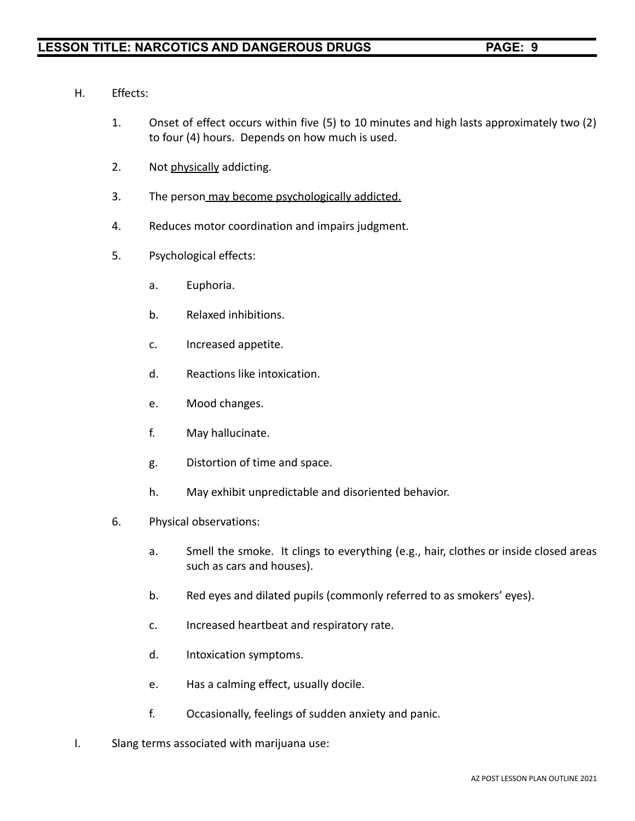- H. Effects:
	- 1. Onset of effect occurs within five (5) to 10 minutes and high lasts approximately two (2) to four (4) hours. Depends on how much is used.
	- 2. Not physically addicting.
	- 3. The person may become psychologically addicted.
	- 4. Reduces motor coordination and impairs judgment.
	- 5. Psychological effects:
		- a. Euphoria.
		- b. Relaxed inhibitions.
		- c. Increased appetite.
		- d. Reactions like intoxication.
		- e. Mood changes.
		- f. May hallucinate.
		- g. Distortion of time and space.
		- h. May exhibit unpredictable and disoriented behavior.
	- 6. Physical observations:
		- a. Smell the smoke. It clings to everything (e.g., hair, clothes or inside closed areas such as cars and houses).
		- b. Red eyes and dilated pupils (commonly referred to as smokers' eyes).
		- c. Increased heartbeat and respiratory rate.
		- d. Intoxication symptoms.
		- e. Has a calming effect, usually docile.
		- f. Occasionally, feelings of sudden anxiety and panic.
- I. Slang terms associated with marijuana use: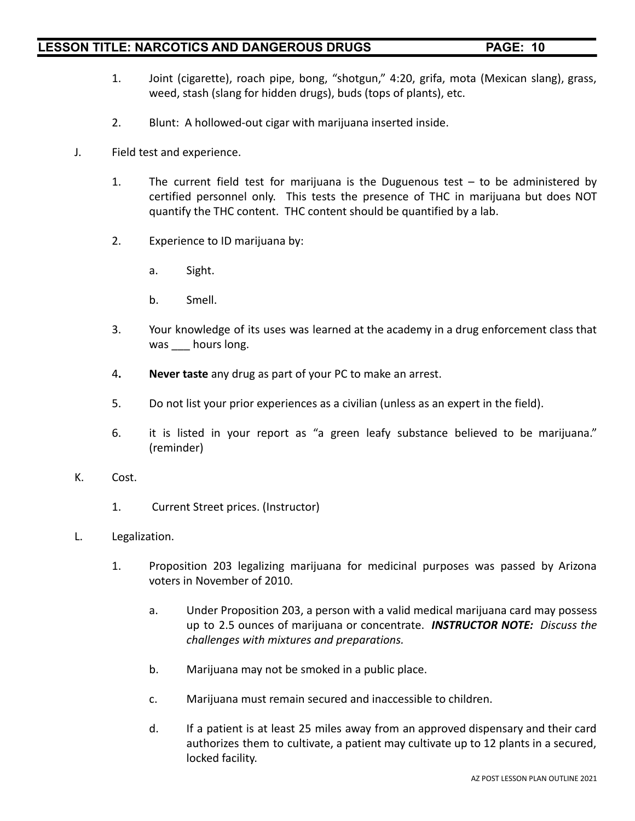- 
- 1. Joint (cigarette), roach pipe, bong, "shotgun," 4:20, grifa, mota (Mexican slang), grass, weed, stash (slang for hidden drugs), buds (tops of plants), etc.
- 2. Blunt: A hollowed-out cigar with marijuana inserted inside.
- J. Field test and experience.
	- 1. The current field test for marijuana is the Duguenous test to be administered by certified personnel only. This tests the presence of THC in marijuana but does NOT quantify the THC content. THC content should be quantified by a lab.
	- 2. Experience to ID marijuana by:
		- a. Sight.
		- b. Smell.
	- 3. Your knowledge of its uses was learned at the academy in a drug enforcement class that was hours long.
	- 4**. Never taste** any drug as part of your PC to make an arrest.
	- 5. Do not list your prior experiences as a civilian (unless as an expert in the field).
	- 6. it is listed in your report as "a green leafy substance believed to be marijuana." (reminder)
- K. Cost.
	- 1. Current Street prices. (Instructor)
- L. Legalization.
	- 1. Proposition 203 legalizing marijuana for medicinal purposes was passed by Arizona voters in November of 2010.
		- a. Under Proposition 203, a person with a valid medical marijuana card may possess up to 2.5 ounces of marijuana or concentrate. *INSTRUCTOR NOTE: Discuss the challenges with mixtures and preparations.*
		- b. Marijuana may not be smoked in a public place.
		- c. Marijuana must remain secured and inaccessible to children.
		- d. If a patient is at least 25 miles away from an approved dispensary and their card authorizes them to cultivate, a patient may cultivate up to 12 plants in a secured, locked facility.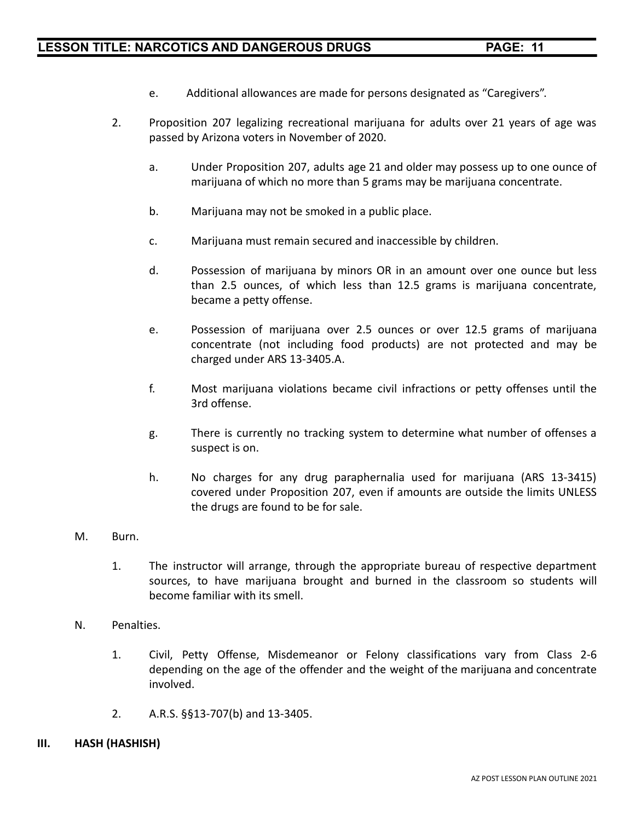- e. Additional allowances are made for persons designated as "Caregivers".
- 2. Proposition 207 legalizing recreational marijuana for adults over 21 years of age was passed by Arizona voters in November of 2020.
	- a. Under Proposition 207, adults age 21 and older may possess up to one ounce of marijuana of which no more than 5 grams may be marijuana concentrate.
	- b. Marijuana may not be smoked in a public place.
	- c. Marijuana must remain secured and inaccessible by children.
	- d. Possession of marijuana by minors OR in an amount over one ounce but less than 2.5 ounces, of which less than 12.5 grams is marijuana concentrate, became a petty offense.
	- e. Possession of marijuana over 2.5 ounces or over 12.5 grams of marijuana concentrate (not including food products) are not protected and may be charged under ARS 13-3405.A.
	- f. Most marijuana violations became civil infractions or petty offenses until the 3rd offense.
	- g. There is currently no tracking system to determine what number of offenses a suspect is on.
	- h. No charges for any drug paraphernalia used for marijuana (ARS 13-3415) covered under Proposition 207, even if amounts are outside the limits UNLESS the drugs are found to be for sale.

### M. Burn.

- 1. The instructor will arrange, through the appropriate bureau of respective department sources, to have marijuana brought and burned in the classroom so students will become familiar with its smell.
- N. Penalties.
	- 1. Civil, Petty Offense, Misdemeanor or Felony classifications vary from Class 2-6 depending on the age of the offender and the weight of the marijuana and concentrate involved.
	- 2. A.R.S. §§13-707(b) and 13-3405.

#### **III. HASH (HASHISH)**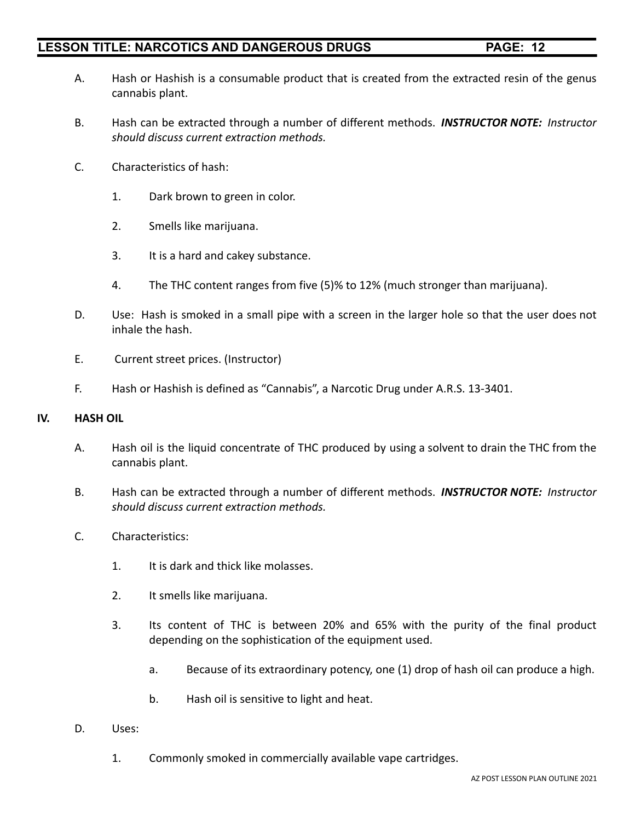- A. Hash or Hashish is a consumable product that is created from the extracted resin of the genus cannabis plant.
- B. Hash can be extracted through a number of different methods. *INSTRUCTOR NOTE: Instructor should discuss current extraction methods.*
- C. Characteristics of hash:
	- 1. Dark brown to green in color.
	- 2. Smells like marijuana.
	- 3. It is a hard and cakey substance.
	- 4. The THC content ranges from five (5)% to 12% (much stronger than marijuana).
- D. Use: Hash is smoked in a small pipe with a screen in the larger hole so that the user does not inhale the hash.
- E. Current street prices. (Instructor)
- F. Hash or Hashish is defined as "Cannabis", a Narcotic Drug under A.R.S. 13-3401.

#### **IV. HASH OIL**

- A. Hash oil is the liquid concentrate of THC produced by using a solvent to drain the THC from the cannabis plant.
- B. Hash can be extracted through a number of different methods. *INSTRUCTOR NOTE: Instructor should discuss current extraction methods.*
- C. Characteristics:
	- 1. It is dark and thick like molasses.
	- 2. It smells like marijuana.
	- 3. Its content of THC is between 20% and 65% with the purity of the final product depending on the sophistication of the equipment used.
		- a. Because of its extraordinary potency, one (1) drop of hash oil can produce a high.
		- b. Hash oil is sensitive to light and heat.
- D. Uses:
	- 1. Commonly smoked in commercially available vape cartridges.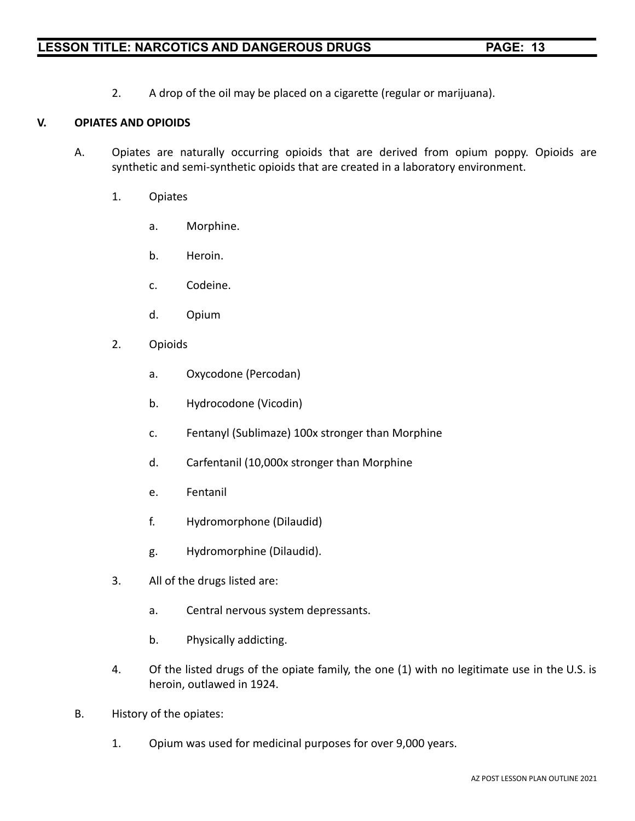2. A drop of the oil may be placed on a cigarette (regular or marijuana).

### **V. OPIATES AND OPIOIDS**

- A. Opiates are naturally occurring opioids that are derived from opium poppy. Opioids are synthetic and semi-synthetic opioids that are created in a laboratory environment.
	- 1. Opiates
		- a. Morphine.
		- b. Heroin.
		- c. Codeine.
		- d. Opium
	- 2. Opioids
		- a. Oxycodone (Percodan)
		- b. Hydrocodone (Vicodin)
		- c. Fentanyl (Sublimaze) 100x stronger than Morphine
		- d. Carfentanil (10,000x stronger than Morphine
		- e. Fentanil
		- f. Hydromorphone (Dilaudid)
		- g. Hydromorphine (Dilaudid).
	- 3. All of the drugs listed are:
		- a. Central nervous system depressants.
		- b. Physically addicting.
	- 4. Of the listed drugs of the opiate family, the one (1) with no legitimate use in the U.S. is heroin, outlawed in 1924.
- B. History of the opiates:
	- 1. Opium was used for medicinal purposes for over 9,000 years.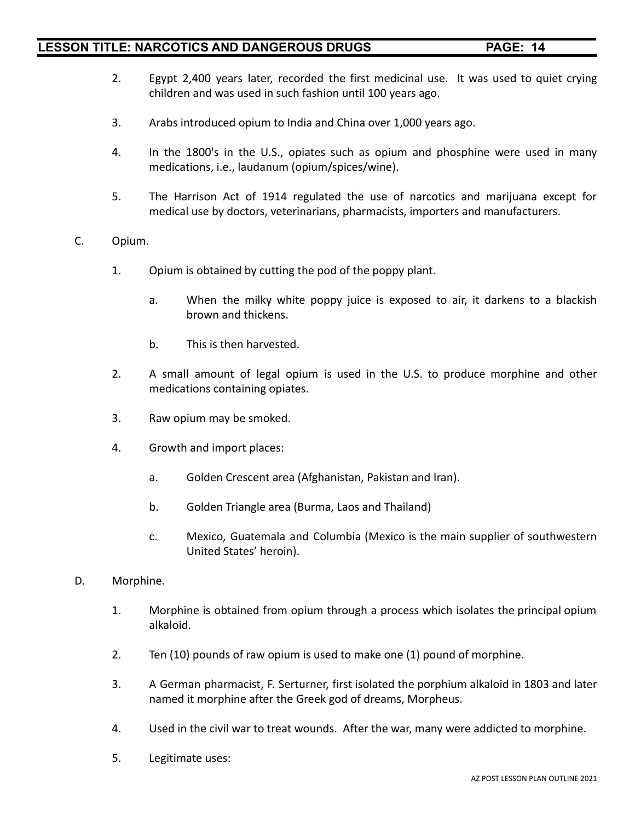- 2. Egypt 2,400 years later, recorded the first medicinal use. It was used to quiet crying children and was used in such fashion until 100 years ago.
- 3. Arabs introduced opium to India and China over 1,000 years ago.
- 4. In the 1800's in the U.S., opiates such as opium and phosphine were used in many medications, i.e., laudanum (opium/spices/wine).
- 5. The Harrison Act of 1914 regulated the use of narcotics and marijuana except for medical use by doctors, veterinarians, pharmacists, importers and manufacturers.

#### C. Opium.

- 1. Opium is obtained by cutting the pod of the poppy plant.
	- a. When the milky white poppy juice is exposed to air, it darkens to a blackish brown and thickens.
	- b. This is then harvested.
- 2. A small amount of legal opium is used in the U.S. to produce morphine and other medications containing opiates.
- 3. Raw opium may be smoked.
- 4. Growth and import places:
	- a. Golden Crescent area (Afghanistan, Pakistan and Iran).
	- b. Golden Triangle area (Burma, Laos and Thailand)
	- c. Mexico, Guatemala and Columbia (Mexico is the main supplier of southwestern United States' heroin).
- D. Morphine.
	- 1. Morphine is obtained from opium through a process which isolates the principal opium alkaloid.
	- 2. Ten (10) pounds of raw opium is used to make one (1) pound of morphine.
	- 3. A German pharmacist, F. Serturner, first isolated the porphium alkaloid in 1803 and later named it morphine after the Greek god of dreams, Morpheus.
	- 4. Used in the civil war to treat wounds. After the war, many were addicted to morphine.
	- 5. Legitimate uses: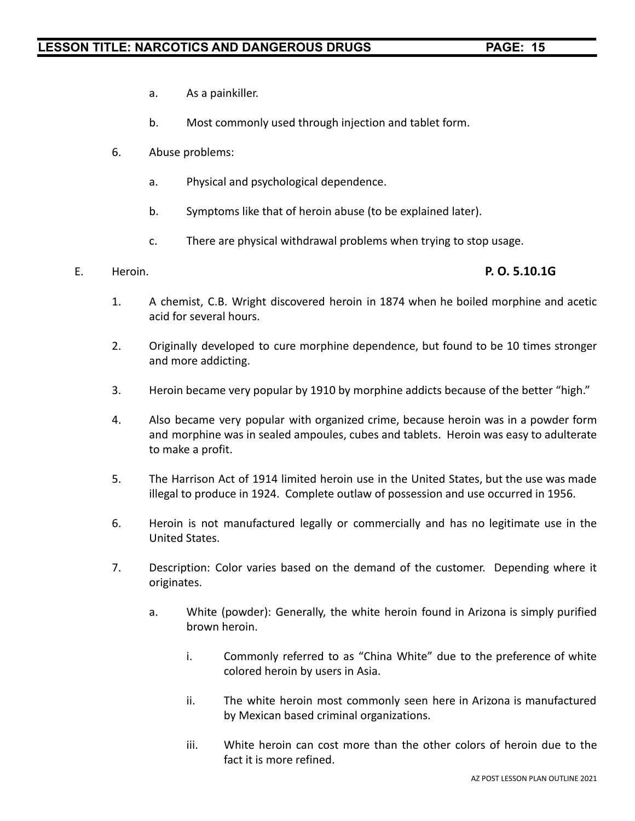- a. As a painkiller.
- b. Most commonly used through injection and tablet form.
- 6. Abuse problems:
	- a. Physical and psychological dependence.
	- b. Symptoms like that of heroin abuse (to be explained later).
	- c. There are physical withdrawal problems when trying to stop usage.

#### E. Heroin. **P. O. 5.10.1G**

- 1. A chemist, C.B. Wright discovered heroin in 1874 when he boiled morphine and acetic acid for several hours.
- 2. Originally developed to cure morphine dependence, but found to be 10 times stronger and more addicting.
- 3. Heroin became very popular by 1910 by morphine addicts because of the better "high."
- 4. Also became very popular with organized crime, because heroin was in a powder form and morphine was in sealed ampoules, cubes and tablets. Heroin was easy to adulterate to make a profit.
- 5. The Harrison Act of 1914 limited heroin use in the United States, but the use was made illegal to produce in 1924. Complete outlaw of possession and use occurred in 1956.
- 6. Heroin is not manufactured legally or commercially and has no legitimate use in the United States.
- 7. Description: Color varies based on the demand of the customer. Depending where it originates.
	- a. White (powder): Generally, the white heroin found in Arizona is simply purified brown heroin.
		- i. Commonly referred to as "China White" due to the preference of white colored heroin by users in Asia.
		- ii. The white heroin most commonly seen here in Arizona is manufactured by Mexican based criminal organizations.
		- iii. White heroin can cost more than the other colors of heroin due to the fact it is more refined.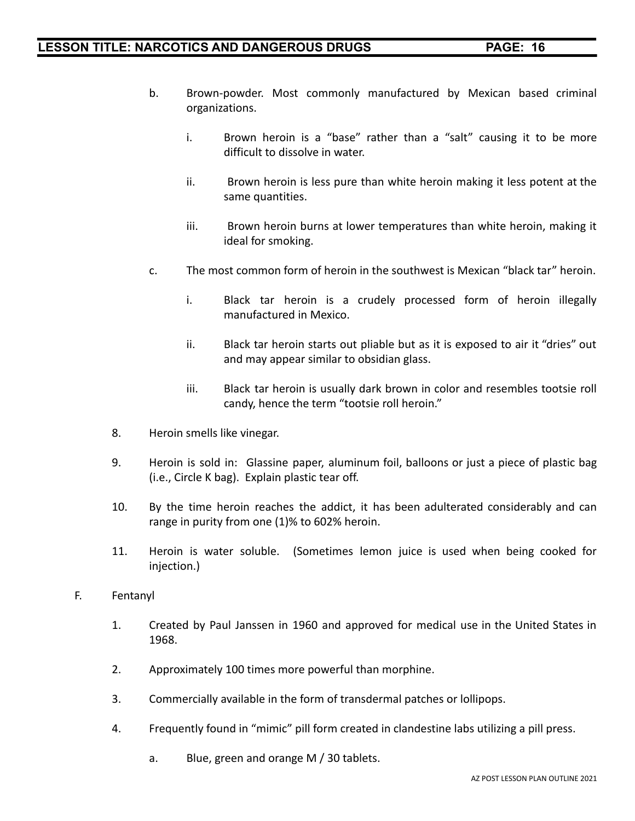- b. Brown-powder. Most commonly manufactured by Mexican based criminal organizations.
	- i. Brown heroin is a "base" rather than a "salt" causing it to be more difficult to dissolve in water.
	- ii. Brown heroin is less pure than white heroin making it less potent at the same quantities.
	- iii. Brown heroin burns at lower temperatures than white heroin, making it ideal for smoking.
- c. The most common form of heroin in the southwest is Mexican "black tar" heroin.
	- i. Black tar heroin is a crudely processed form of heroin illegally manufactured in Mexico.
	- ii. Black tar heroin starts out pliable but as it is exposed to air it "dries" out and may appear similar to obsidian glass.
	- iii. Black tar heroin is usually dark brown in color and resembles tootsie roll candy, hence the term "tootsie roll heroin."
- 8. Heroin smells like vinegar.
- 9. Heroin is sold in: Glassine paper, aluminum foil, balloons or just a piece of plastic bag (i.e., Circle K bag). Explain plastic tear off.
- 10. By the time heroin reaches the addict, it has been adulterated considerably and can range in purity from one (1)% to 602% heroin.
- 11. Heroin is water soluble. (Sometimes lemon juice is used when being cooked for injection.)
- F. Fentanyl
	- 1. Created by Paul Janssen in 1960 and approved for medical use in the United States in 1968.
	- 2. Approximately 100 times more powerful than morphine.
	- 3. Commercially available in the form of transdermal patches or lollipops.
	- 4. Frequently found in "mimic" pill form created in clandestine labs utilizing a pill press.
		- a. Blue, green and orange M / 30 tablets.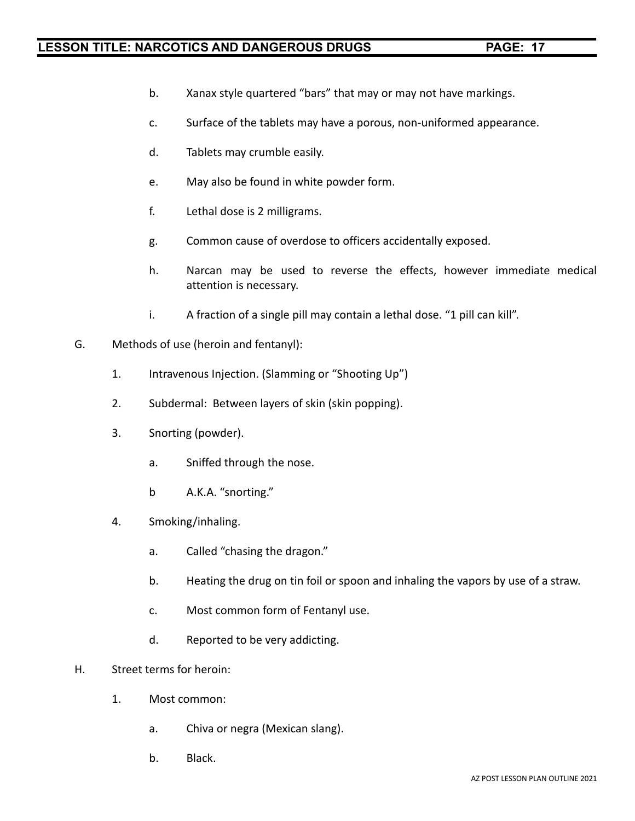- b. Xanax style quartered "bars" that may or may not have markings.
- c. Surface of the tablets may have a porous, non-uniformed appearance.
- d. Tablets may crumble easily.
- e. May also be found in white powder form.
- f. Lethal dose is 2 milligrams.
- g. Common cause of overdose to officers accidentally exposed.
- h. Narcan may be used to reverse the effects, however immediate medical attention is necessary.
- i. A fraction of a single pill may contain a lethal dose. "1 pill can kill".
- G. Methods of use (heroin and fentanyl):
	- 1. Intravenous Injection. (Slamming or "Shooting Up")
	- 2. Subdermal: Between layers of skin (skin popping).
	- 3. Snorting (powder).
		- a. Sniffed through the nose.
		- b A.K.A. "snorting."
	- 4. Smoking/inhaling.
		- a. Called "chasing the dragon."
		- b. Heating the drug on tin foil or spoon and inhaling the vapors by use of a straw.
		- c. Most common form of Fentanyl use.
		- d. Reported to be very addicting.
- H. Street terms for heroin:
	- 1. Most common:
		- a. Chiva or negra (Mexican slang).
		- b. Black.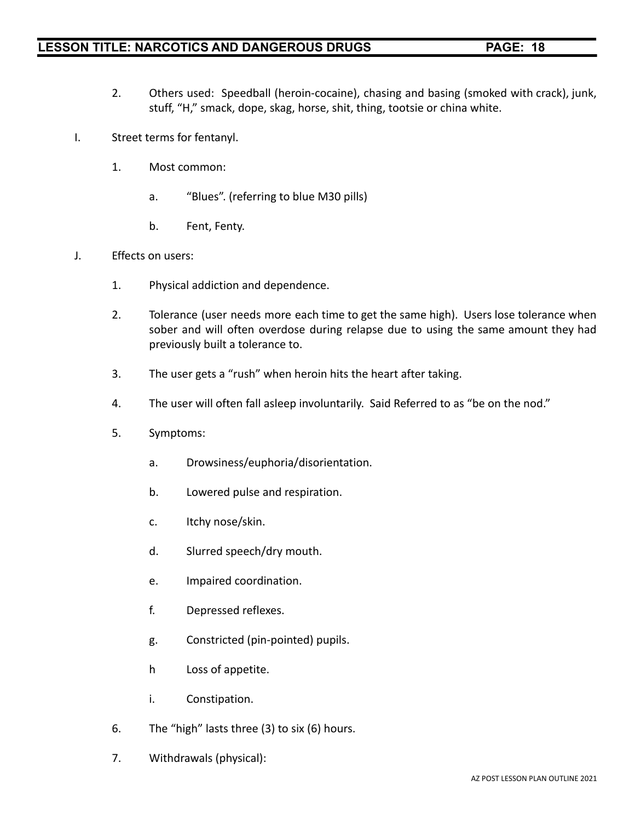- 2. Others used: Speedball (heroin-cocaine), chasing and basing (smoked with crack), junk, stuff, "H," smack, dope, skag, horse, shit, thing, tootsie or china white.
- I. Street terms for fentanyl.
	- 1. Most common:
		- a. "Blues". (referring to blue M30 pills)
		- b. Fent, Fenty.
- J. Effects on users:
	- 1. Physical addiction and dependence.
	- 2. Tolerance (user needs more each time to get the same high). Users lose tolerance when sober and will often overdose during relapse due to using the same amount they had previously built a tolerance to.
	- 3. The user gets a "rush" when heroin hits the heart after taking.
	- 4. The user will often fall asleep involuntarily. Said Referred to as "be on the nod."
	- 5. Symptoms:
		- a. Drowsiness/euphoria/disorientation.
		- b. Lowered pulse and respiration.
		- c. Itchy nose/skin.
		- d. Slurred speech/dry mouth.
		- e. Impaired coordination.
		- f. Depressed reflexes.
		- g. Constricted (pin-pointed) pupils.
		- h Loss of appetite.
		- i. Constipation.
	- 6. The "high" lasts three (3) to six (6) hours.
	- 7. Withdrawals (physical):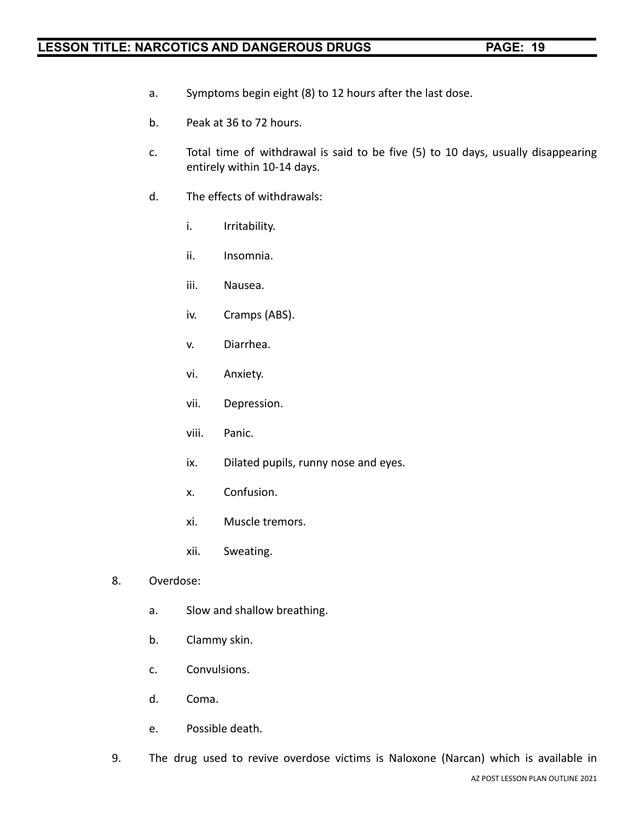- a. Symptoms begin eight (8) to 12 hours after the last dose.
- b. Peak at 36 to 72 hours.
- c. Total time of withdrawal is said to be five (5) to 10 days, usually disappearing entirely within 10-14 days.
- d. The effects of withdrawals:
	- i. Irritability.
	- ii. Insomnia.
	- iii. Nausea.
	- iv. Cramps (ABS).
	- v. Diarrhea.
	- vi. Anxiety.
	- vii. Depression.
	- viii. Panic.
	- ix. Dilated pupils, runny nose and eyes.
	- x. Confusion.
	- xi. Muscle tremors.
	- xii. Sweating.
- 8. Overdose:
	- a. Slow and shallow breathing.
	- b. Clammy skin.
	- c. Convulsions.
	- d. Coma.
	- e. Possible death.
- 9. The drug used to revive overdose victims is Naloxone (Narcan) which is available in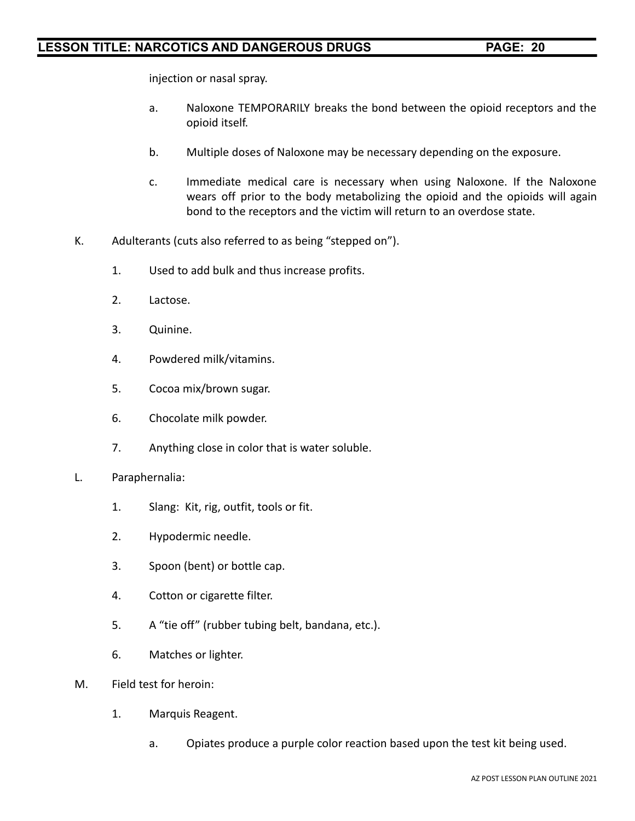injection or nasal spray.

- a. Naloxone TEMPORARILY breaks the bond between the opioid receptors and the opioid itself.
- b. Multiple doses of Naloxone may be necessary depending on the exposure.
- c. Immediate medical care is necessary when using Naloxone. If the Naloxone wears off prior to the body metabolizing the opioid and the opioids will again bond to the receptors and the victim will return to an overdose state.
- K. Adulterants (cuts also referred to as being "stepped on").
	- 1. Used to add bulk and thus increase profits.
	- 2. Lactose.
	- 3. Quinine.
	- 4. Powdered milk/vitamins.
	- 5. Cocoa mix/brown sugar.
	- 6. Chocolate milk powder.
	- 7. Anything close in color that is water soluble.
- L. Paraphernalia:
	- 1. Slang: Kit, rig, outfit, tools or fit.
	- 2. Hypodermic needle.
	- 3. Spoon (bent) or bottle cap.
	- 4. Cotton or cigarette filter.
	- 5. A "tie off" (rubber tubing belt, bandana, etc.).
	- 6. Matches or lighter.
- M. Field test for heroin:
	- 1. Marquis Reagent.
		- a. Opiates produce a purple color reaction based upon the test kit being used.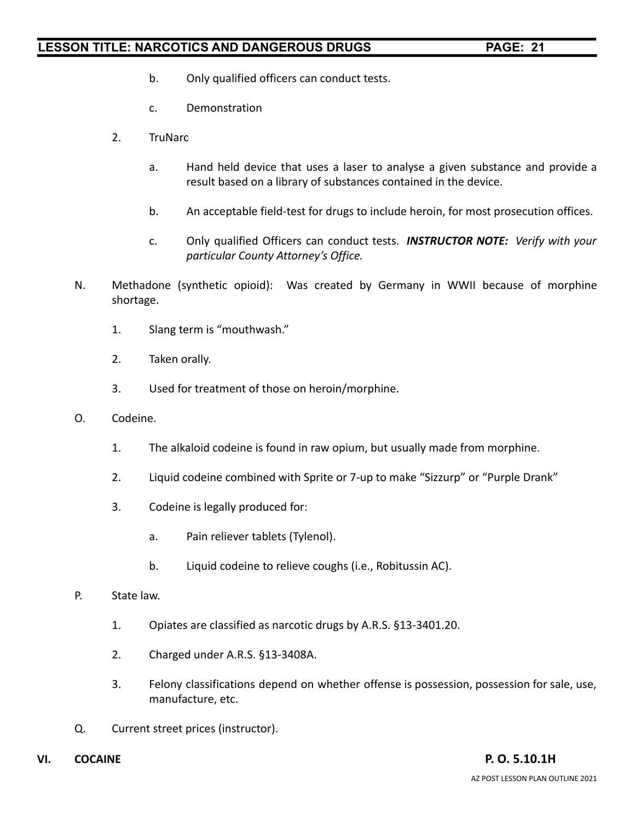- b. Only qualified officers can conduct tests.
- c. Demonstration
- 2. TruNarc
	- a. Hand held device that uses a laser to analyse a given substance and provide a result based on a library of substances contained in the device.
	- b. An acceptable field-test for drugs to include heroin, for most prosecution offices.
	- c. Only qualified Officers can conduct tests. *INSTRUCTOR NOTE: Verify with your particular County Attorney's Office.*
- N. Methadone (synthetic opioid): Was created by Germany in WWII because of morphine shortage.
	- 1. Slang term is "mouthwash."
	- 2. Taken orally.
	- 3. Used for treatment of those on heroin/morphine.
- O. Codeine.
	- 1. The alkaloid codeine is found in raw opium, but usually made from morphine.
	- 2. Liquid codeine combined with Sprite or 7-up to make "Sizzurp" or "Purple Drank"
	- 3. Codeine is legally produced for:
		- a. Pain reliever tablets (Tylenol).
		- b. Liquid codeine to relieve coughs (i.e., Robitussin AC).
- P. State law.
	- 1. Opiates are classified as narcotic drugs by A.R.S. §13-3401.20.
	- 2. Charged under A.R.S. §13-3408A.
	- 3. Felony classifications depend on whether offense is possession, possession for sale, use, manufacture, etc.
- Q. Current street prices (instructor).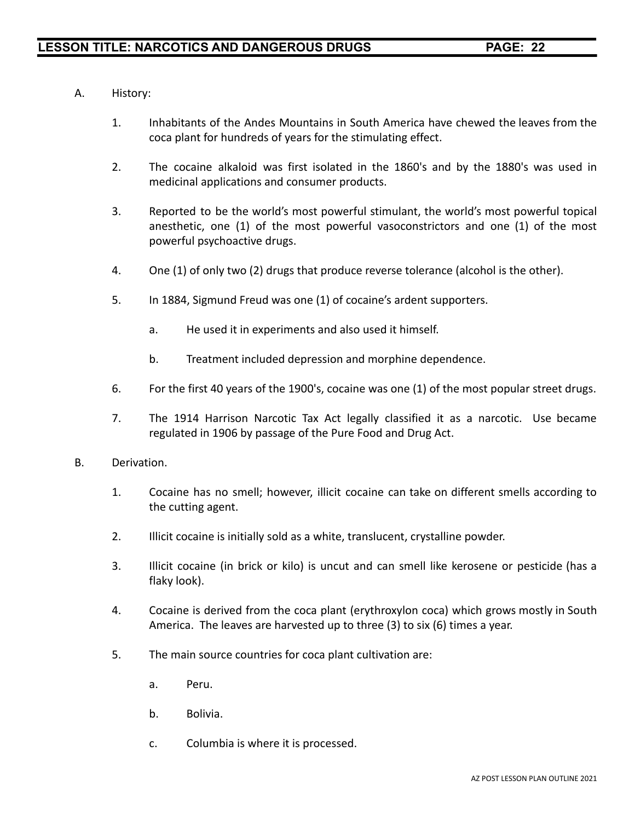### A. History:

- 1. Inhabitants of the Andes Mountains in South America have chewed the leaves from the coca plant for hundreds of years for the stimulating effect.
- 2. The cocaine alkaloid was first isolated in the 1860's and by the 1880's was used in medicinal applications and consumer products.
- 3. Reported to be the world's most powerful stimulant, the world's most powerful topical anesthetic, one (1) of the most powerful vasoconstrictors and one (1) of the most powerful psychoactive drugs.
- 4. One (1) of only two (2) drugs that produce reverse tolerance (alcohol is the other).
- 5. In 1884, Sigmund Freud was one (1) of cocaine's ardent supporters.
	- a. He used it in experiments and also used it himself.
	- b. Treatment included depression and morphine dependence.
- 6. For the first 40 years of the 1900's, cocaine was one (1) of the most popular street drugs.
- 7. The 1914 Harrison Narcotic Tax Act legally classified it as a narcotic. Use became regulated in 1906 by passage of the Pure Food and Drug Act.
- B. Derivation.
	- 1. Cocaine has no smell; however, illicit cocaine can take on different smells according to the cutting agent.
	- 2. Illicit cocaine is initially sold as a white, translucent, crystalline powder.
	- 3. Illicit cocaine (in brick or kilo) is uncut and can smell like kerosene or pesticide (has a flaky look).
	- 4. Cocaine is derived from the coca plant (erythroxylon coca) which grows mostly in South America. The leaves are harvested up to three (3) to six (6) times a year.
	- 5. The main source countries for coca plant cultivation are:
		- a. Peru.
		- b. Bolivia.
		- c. Columbia is where it is processed.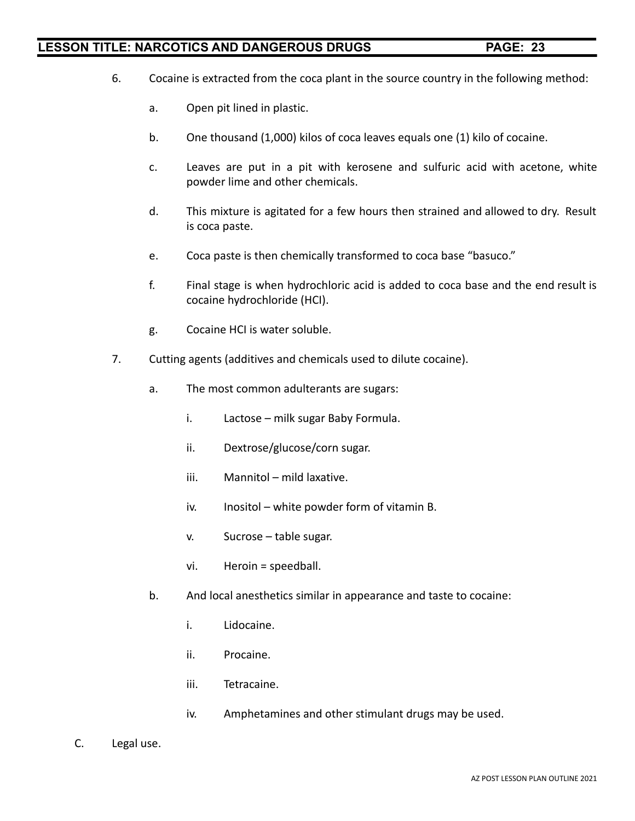- 6. Cocaine is extracted from the coca plant in the source country in the following method:
	- a. Open pit lined in plastic.
	- b. One thousand (1,000) kilos of coca leaves equals one (1) kilo of cocaine.
	- c. Leaves are put in a pit with kerosene and sulfuric acid with acetone, white powder lime and other chemicals.
	- d. This mixture is agitated for a few hours then strained and allowed to dry. Result is coca paste.
	- e. Coca paste is then chemically transformed to coca base "basuco."
	- f. Final stage is when hydrochloric acid is added to coca base and the end result is cocaine hydrochloride (HCI).
	- g. Cocaine HCI is water soluble.
- 7. Cutting agents (additives and chemicals used to dilute cocaine).
	- a. The most common adulterants are sugars:
		- i. Lactose milk sugar Baby Formula.
		- ii. Dextrose/glucose/corn sugar.
		- iii. Mannitol mild laxative.
		- iv. Inositol white powder form of vitamin B.
		- v. Sucrose table sugar.
		- vi. Heroin = speedball.
	- b. And local anesthetics similar in appearance and taste to cocaine:
		- i. Lidocaine.
		- ii. Procaine.
		- iii. Tetracaine.
		- iv. Amphetamines and other stimulant drugs may be used.
- C. Legal use.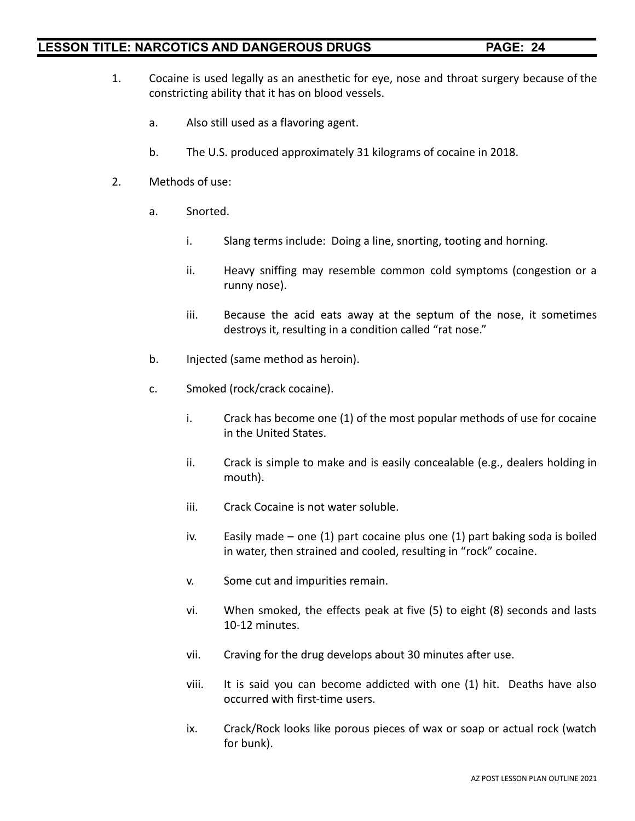- 
- 1. Cocaine is used legally as an anesthetic for eye, nose and throat surgery because of the constricting ability that it has on blood vessels.
	- a. Also still used as a flavoring agent.
	- b. The U.S. produced approximately 31 kilograms of cocaine in 2018.
- 2. Methods of use:
	- a. Snorted.
		- i. Slang terms include: Doing a line, snorting, tooting and horning.
		- ii. Heavy sniffing may resemble common cold symptoms (congestion or a runny nose).
		- iii. Because the acid eats away at the septum of the nose, it sometimes destroys it, resulting in a condition called "rat nose."
	- b. Injected (same method as heroin).
	- c. Smoked (rock/crack cocaine).
		- i. Crack has become one (1) of the most popular methods of use for cocaine in the United States.
		- ii. Crack is simple to make and is easily concealable (e.g., dealers holding in mouth).
		- iii. Crack Cocaine is not water soluble.
		- iv. Easily made one (1) part cocaine plus one (1) part baking soda is boiled in water, then strained and cooled, resulting in "rock" cocaine.
		- v. Some cut and impurities remain.
		- vi. When smoked, the effects peak at five (5) to eight (8) seconds and lasts 10-12 minutes.
		- vii. Craving for the drug develops about 30 minutes after use.
		- viii. It is said you can become addicted with one (1) hit. Deaths have also occurred with first-time users.
		- ix. Crack/Rock looks like porous pieces of wax or soap or actual rock (watch for bunk).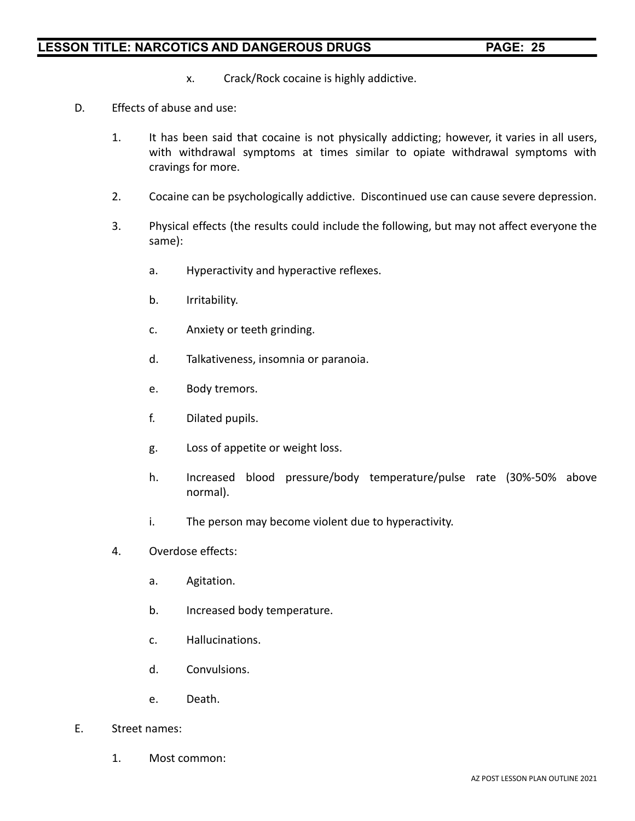- x. Crack/Rock cocaine is highly addictive.
- D. Effects of abuse and use:
	- 1. It has been said that cocaine is not physically addicting; however, it varies in all users, with withdrawal symptoms at times similar to opiate withdrawal symptoms with cravings for more.
	- 2. Cocaine can be psychologically addictive. Discontinued use can cause severe depression.
	- 3. Physical effects (the results could include the following, but may not affect everyone the same):
		- a. Hyperactivity and hyperactive reflexes.
		- b. Irritability.
		- c. Anxiety or teeth grinding.
		- d. Talkativeness, insomnia or paranoia.
		- e. Body tremors.
		- f. Dilated pupils.
		- g. Loss of appetite or weight loss.
		- h. Increased blood pressure/body temperature/pulse rate (30%-50% above normal).
		- i. The person may become violent due to hyperactivity.
	- 4. Overdose effects:
		- a. Agitation.
		- b. Increased body temperature.
		- c. Hallucinations.
		- d. Convulsions.
		- e. Death.
- E. Street names:
	- 1. Most common: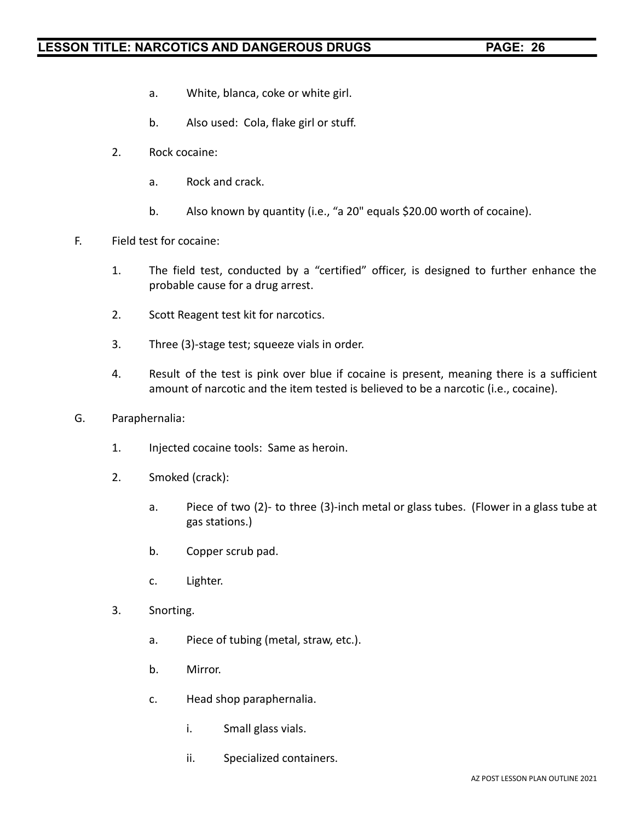- a. White, blanca, coke or white girl.
- b. Also used: Cola, flake girl or stuff.
- 2. Rock cocaine:
	- a. Rock and crack.
	- b. Also known by quantity (i.e., "a 20" equals \$20.00 worth of cocaine).
- F. Field test for cocaine:
	- 1. The field test, conducted by a "certified" officer, is designed to further enhance the probable cause for a drug arrest.
	- 2. Scott Reagent test kit for narcotics.
	- 3. Three (3)-stage test; squeeze vials in order.
	- 4. Result of the test is pink over blue if cocaine is present, meaning there is a sufficient amount of narcotic and the item tested is believed to be a narcotic (i.e., cocaine).
- G. Paraphernalia:
	- 1. Injected cocaine tools: Same as heroin.
	- 2. Smoked (crack):
		- a. Piece of two (2)- to three (3)-inch metal or glass tubes. (Flower in a glass tube at gas stations.)
		- b. Copper scrub pad.
		- c. Lighter.
	- 3. Snorting.
		- a. Piece of tubing (metal, straw, etc.).
		- b. Mirror.
		- c. Head shop paraphernalia.
			- i. Small glass vials.
			- ii. Specialized containers.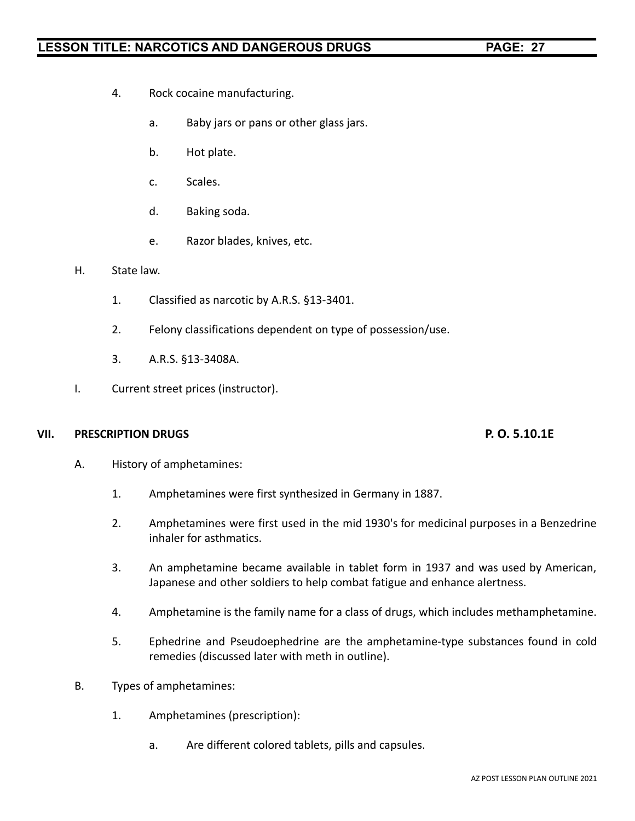- 4. Rock cocaine manufacturing.
	- a. Baby jars or pans or other glass jars.
	- b. Hot plate.
	- c. Scales.
	- d. Baking soda.
	- e. Razor blades, knives, etc.
- H. State law.
	- 1. Classified as narcotic by A.R.S. §13-3401.
	- 2. Felony classifications dependent on type of possession/use.
	- 3. A.R.S. §13-3408A.
- I. Current street prices (instructor).

### **VII. PRESCRIPTION DRUGS P. O. 5.10.1E**

- A. History of amphetamines:
	- 1. Amphetamines were first synthesized in Germany in 1887.
	- 2. Amphetamines were first used in the mid 1930's for medicinal purposes in a Benzedrine inhaler for asthmatics.
	- 3. An amphetamine became available in tablet form in 1937 and was used by American, Japanese and other soldiers to help combat fatigue and enhance alertness.
	- 4. Amphetamine is the family name for a class of drugs, which includes methamphetamine.
	- 5. Ephedrine and Pseudoephedrine are the amphetamine-type substances found in cold remedies (discussed later with meth in outline).
- B. Types of amphetamines:
	- 1. Amphetamines (prescription):
		- a. Are different colored tablets, pills and capsules.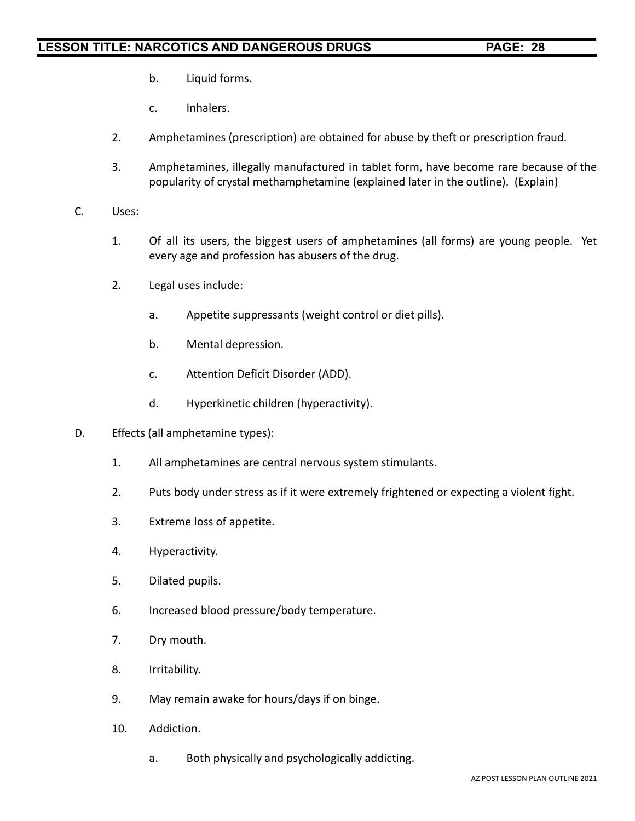- b. Liquid forms.
- c. Inhalers.
- 2. Amphetamines (prescription) are obtained for abuse by theft or prescription fraud.
- 3. Amphetamines, illegally manufactured in tablet form, have become rare because of the popularity of crystal methamphetamine (explained later in the outline). (Explain)
- C. Uses:
	- 1. Of all its users, the biggest users of amphetamines (all forms) are young people. Yet every age and profession has abusers of the drug.
	- 2. Legal uses include:
		- a. Appetite suppressants (weight control or diet pills).
		- b. Mental depression.
		- c. Attention Deficit Disorder (ADD).
		- d. Hyperkinetic children (hyperactivity).
- D. Effects (all amphetamine types):
	- 1. All amphetamines are central nervous system stimulants.
	- 2. Puts body under stress as if it were extremely frightened or expecting a violent fight.
	- 3. Extreme loss of appetite.
	- 4. Hyperactivity.
	- 5. Dilated pupils.
	- 6. Increased blood pressure/body temperature.
	- 7. Dry mouth.
	- 8. Irritability.
	- 9. May remain awake for hours/days if on binge.
	- 10. Addiction.
		- a. Both physically and psychologically addicting.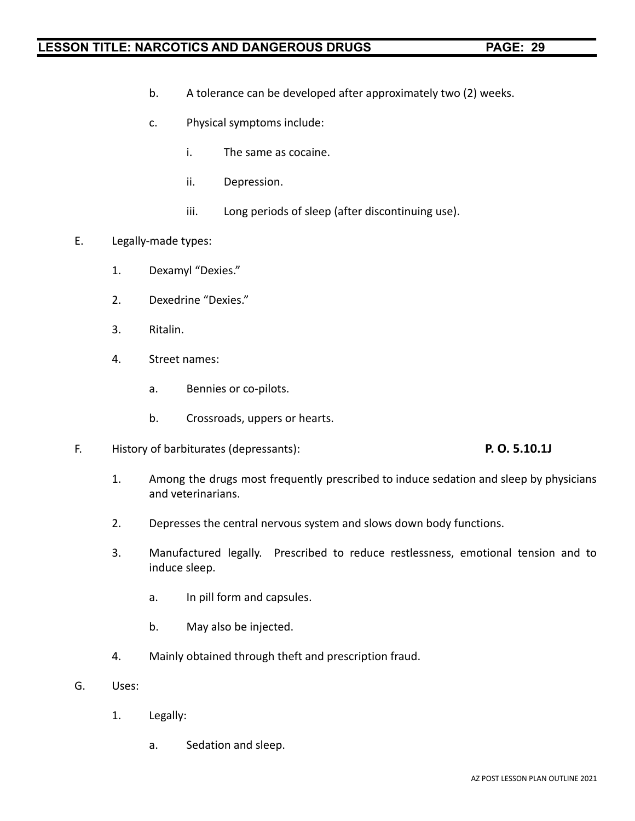- b. A tolerance can be developed after approximately two (2) weeks.
- c. Physical symptoms include:
	- i. The same as cocaine.
	- ii. Depression.
	- iii. Long periods of sleep (after discontinuing use).
- E. Legally-made types:
	- 1. Dexamyl "Dexies."
	- 2. Dexedrine "Dexies."
	- 3. Ritalin.
	- 4. Street names:
		- a. Bennies or co-pilots.
		- b. Crossroads, uppers or hearts.
- F. History of barbiturates (depressants): **P. O. 5.10.1J**

- 1. Among the drugs most frequently prescribed to induce sedation and sleep by physicians and veterinarians.
- 2. Depresses the central nervous system and slows down body functions.
- 3. Manufactured legally. Prescribed to reduce restlessness, emotional tension and to induce sleep.
	- a. In pill form and capsules.
	- b. May also be injected.
- 4. Mainly obtained through theft and prescription fraud.
- G. Uses:
	- 1. Legally:
		- a. Sedation and sleep.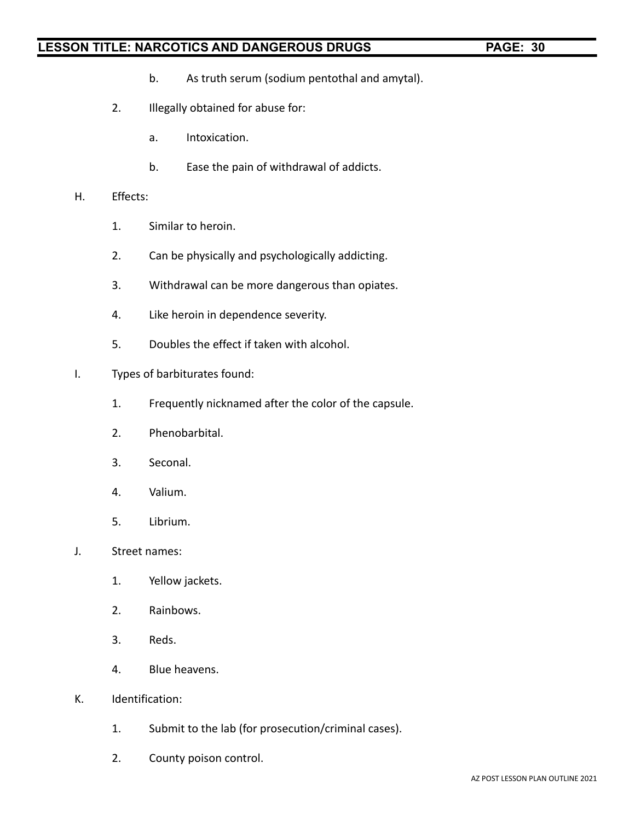- 
- b. As truth serum (sodium pentothal and amytal).
- 2. Illegally obtained for abuse for:
	- a. Intoxication.
	- b. Ease the pain of withdrawal of addicts.

### H. Effects:

- 1. Similar to heroin.
- 2. Can be physically and psychologically addicting.
- 3. Withdrawal can be more dangerous than opiates.
- 4. Like heroin in dependence severity.
- 5. Doubles the effect if taken with alcohol.
- I. Types of barbiturates found:
	- 1. Frequently nicknamed after the color of the capsule.
	- 2. Phenobarbital.
	- 3. Seconal.
	- 4. Valium.
	- 5. Librium.

#### J. Street names:

- 1. Yellow jackets.
- 2. Rainbows.
- 3. Reds.
- 4. Blue heavens.
- K. Identification:
	- 1. Submit to the lab (for prosecution/criminal cases).
	- 2. County poison control.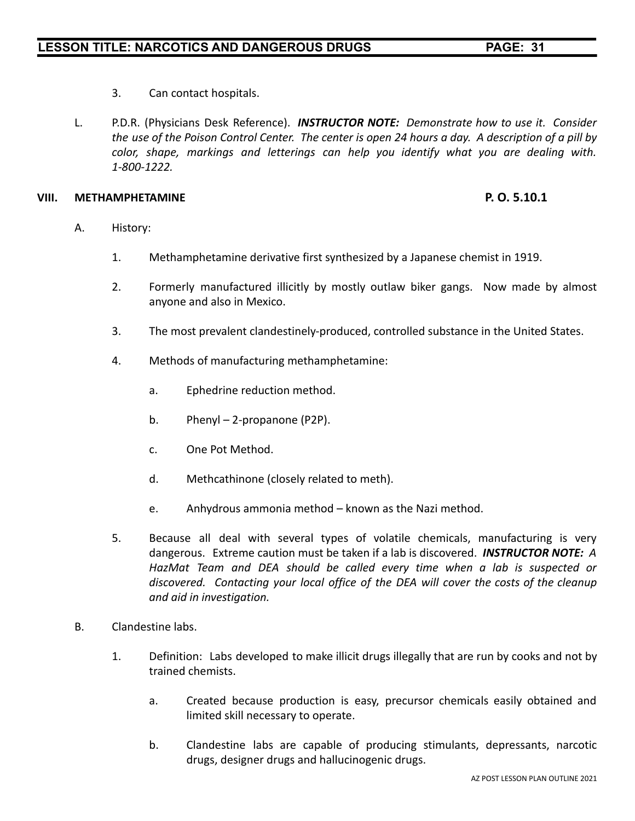- 3. Can contact hospitals.
- L. P.D.R. (Physicians Desk Reference). *INSTRUCTOR NOTE: Demonstrate how to use it. Consider* the use of the Poison Control Center. The center is open 24 hours a day. A description of a pill by *color, shape, markings and letterings can help you identify what you are dealing with. 1-800-1222.*

#### **VIII. METHAMPHETAMINE P. O. 5.10.1**

- A. History:
	- 1. Methamphetamine derivative first synthesized by a Japanese chemist in 1919.
	- 2. Formerly manufactured illicitly by mostly outlaw biker gangs. Now made by almost anyone and also in Mexico.
	- 3. The most prevalent clandestinely-produced, controlled substance in the United States.
	- 4. Methods of manufacturing methamphetamine:
		- a. Ephedrine reduction method.
		- b. Phenyl 2-propanone (P2P).
		- c. One Pot Method.
		- d. Methcathinone (closely related to meth).
		- e. Anhydrous ammonia method known as the Nazi method.
	- 5. Because all deal with several types of volatile chemicals, manufacturing is very dangerous. Extreme caution must be taken if a lab is discovered. *INSTRUCTOR NOTE: A HazMat Team and DEA should be called every time when a lab is suspected or discovered. Contacting your local office of the DEA will cover the costs of the cleanup and aid in investigation.*
- B. Clandestine labs.
	- 1. Definition: Labs developed to make illicit drugs illegally that are run by cooks and not by trained chemists.
		- a. Created because production is easy, precursor chemicals easily obtained and limited skill necessary to operate.
		- b. Clandestine labs are capable of producing stimulants, depressants, narcotic drugs, designer drugs and hallucinogenic drugs.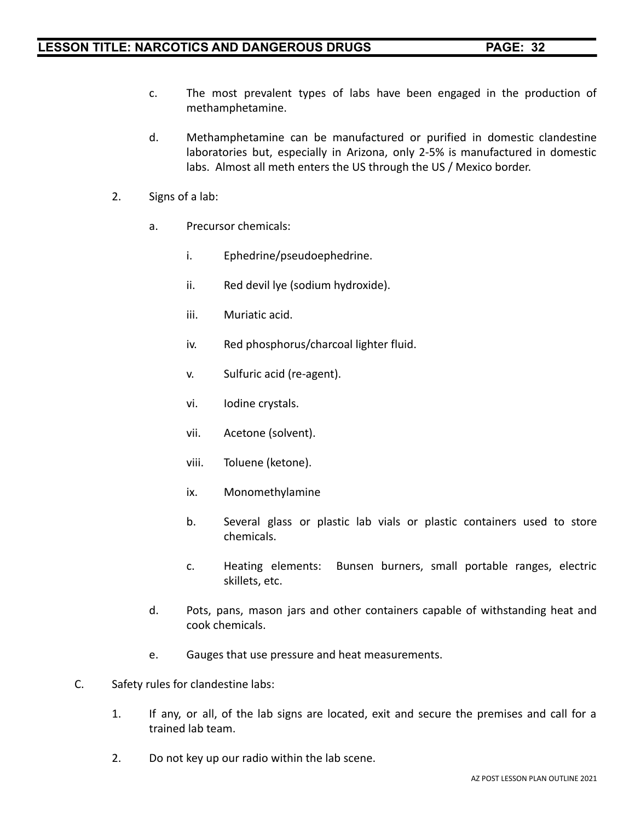- c. The most prevalent types of labs have been engaged in the production of methamphetamine.
- d. Methamphetamine can be manufactured or purified in domestic clandestine laboratories but, especially in Arizona, only 2-5% is manufactured in domestic labs. Almost all meth enters the US through the US / Mexico border.
- 2. Signs of a lab:
	- a. Precursor chemicals:
		- i. Ephedrine/pseudoephedrine.
		- ii. Red devil lye (sodium hydroxide).
		- iii. Muriatic acid.
		- iv. Red phosphorus/charcoal lighter fluid.
		- v. Sulfuric acid (re-agent).
		- vi. Iodine crystals.
		- vii. Acetone (solvent).
		- viii. Toluene (ketone).
		- ix. Monomethylamine
		- b. Several glass or plastic lab vials or plastic containers used to store chemicals.
		- c. Heating elements: Bunsen burners, small portable ranges, electric skillets, etc.
	- d. Pots, pans, mason jars and other containers capable of withstanding heat and cook chemicals.
	- e. Gauges that use pressure and heat measurements.
- C. Safety rules for clandestine labs:
	- 1. If any, or all, of the lab signs are located, exit and secure the premises and call for a trained lab team.
	- 2. Do not key up our radio within the lab scene.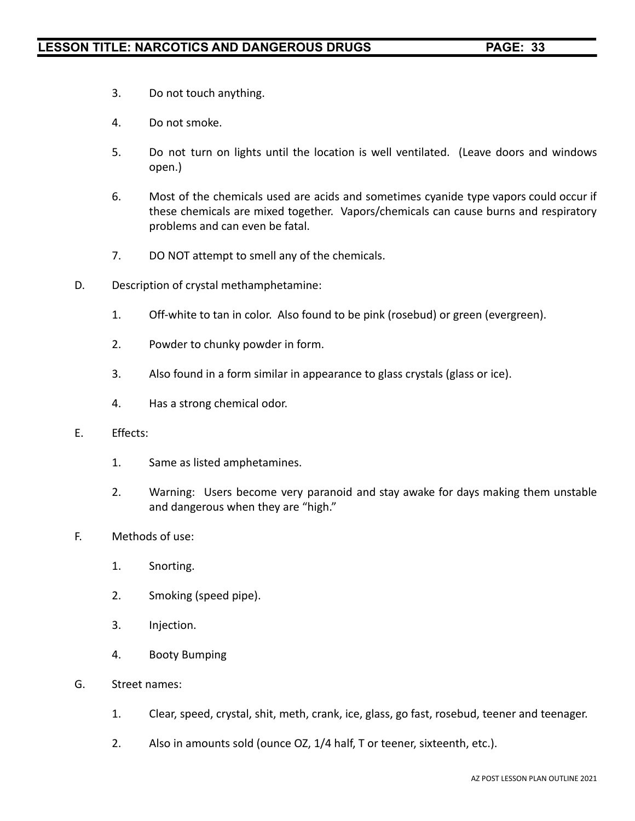- 3. Do not touch anything.
- 4. Do not smoke.
- 5. Do not turn on lights until the location is well ventilated. (Leave doors and windows open.)
- 6. Most of the chemicals used are acids and sometimes cyanide type vapors could occur if these chemicals are mixed together. Vapors/chemicals can cause burns and respiratory problems and can even be fatal.
- 7. DO NOT attempt to smell any of the chemicals.
- D. Description of crystal methamphetamine:
	- 1. Off-white to tan in color. Also found to be pink (rosebud) or green (evergreen).
	- 2. Powder to chunky powder in form.
	- 3. Also found in a form similar in appearance to glass crystals (glass or ice).
	- 4. Has a strong chemical odor.
- E. Effects:
	- 1. Same as listed amphetamines.
	- 2. Warning: Users become very paranoid and stay awake for days making them unstable and dangerous when they are "high."
- F. Methods of use:
	- 1. Snorting.
	- 2. Smoking (speed pipe).
	- 3. Injection.
	- 4. Booty Bumping
- G. Street names:
	- 1. Clear, speed, crystal, shit, meth, crank, ice, glass, go fast, rosebud, teener and teenager.
	- 2. Also in amounts sold (ounce OZ, 1/4 half, T or teener, sixteenth, etc.).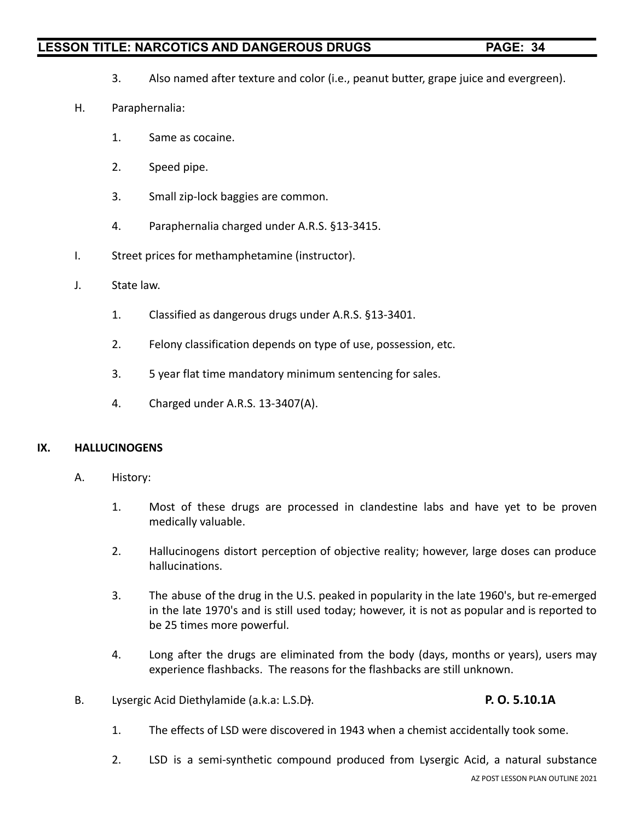- 
- 3. Also named after texture and color (i.e., peanut butter, grape juice and evergreen).
- H. Paraphernalia:
	- 1. Same as cocaine.
	- 2. Speed pipe.
	- 3. Small zip-lock baggies are common.
	- 4. Paraphernalia charged under A.R.S. §13-3415.
- I. Street prices for methamphetamine (instructor).
- J. State law.
	- 1. Classified as dangerous drugs under A.R.S. §13-3401.
	- 2. Felony classification depends on type of use, possession, etc.
	- 3. 5 year flat time mandatory minimum sentencing for sales.
	- 4. Charged under A.R.S. 13-3407(A).

### **IX. HALLUCINOGENS**

- A. History:
	- 1. Most of these drugs are processed in clandestine labs and have yet to be proven medically valuable.
	- 2. Hallucinogens distort perception of objective reality; however, large doses can produce hallucinations.
	- 3. The abuse of the drug in the U.S. peaked in popularity in the late 1960's, but re-emerged in the late 1970's and is still used today; however, it is not as popular and is reported to be 25 times more powerful.
	- 4. Long after the drugs are eliminated from the body (days, months or years), users may experience flashbacks. The reasons for the flashbacks are still unknown.
- B. Lysergic Acid Diethylamide (a.k.a: L.S.D). **P. O. 5.10.1A**

- 1. The effects of LSD were discovered in 1943 when a chemist accidentally took some.
- 2. LSD is a semi-synthetic compound produced from Lysergic Acid, a natural substance AZ POST LESSON PLAN OUTLINE 2021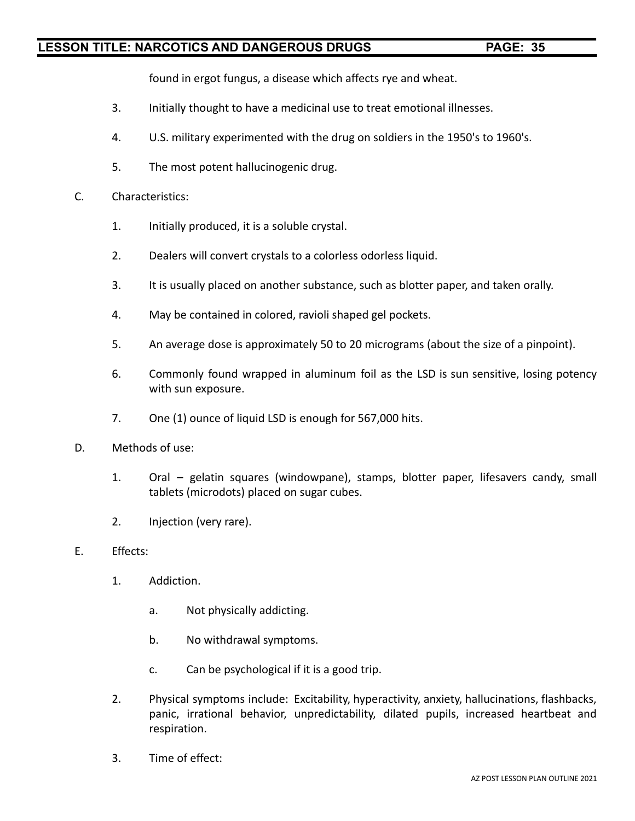found in ergot fungus, a disease which affects rye and wheat.

- 3. Initially thought to have a medicinal use to treat emotional illnesses.
- 4. U.S. military experimented with the drug on soldiers in the 1950's to 1960's.
- 5. The most potent hallucinogenic drug.
- C. Characteristics:
	- 1. Initially produced, it is a soluble crystal.
	- 2. Dealers will convert crystals to a colorless odorless liquid.
	- 3. It is usually placed on another substance, such as blotter paper, and taken orally.
	- 4. May be contained in colored, ravioli shaped gel pockets.
	- 5. An average dose is approximately 50 to 20 micrograms (about the size of a pinpoint).
	- 6. Commonly found wrapped in aluminum foil as the LSD is sun sensitive, losing potency with sun exposure.
	- 7. One (1) ounce of liquid LSD is enough for 567,000 hits.
- D. Methods of use:
	- 1. Oral gelatin squares (windowpane), stamps, blotter paper, lifesavers candy, small tablets (microdots) placed on sugar cubes.
	- 2. Injection (very rare).
- E. Effects:
	- 1. Addiction.
		- a. Not physically addicting.
		- b. No withdrawal symptoms.
		- c. Can be psychological if it is a good trip.
	- 2. Physical symptoms include: Excitability, hyperactivity, anxiety, hallucinations, flashbacks, panic, irrational behavior, unpredictability, dilated pupils, increased heartbeat and respiration.
	- 3. Time of effect: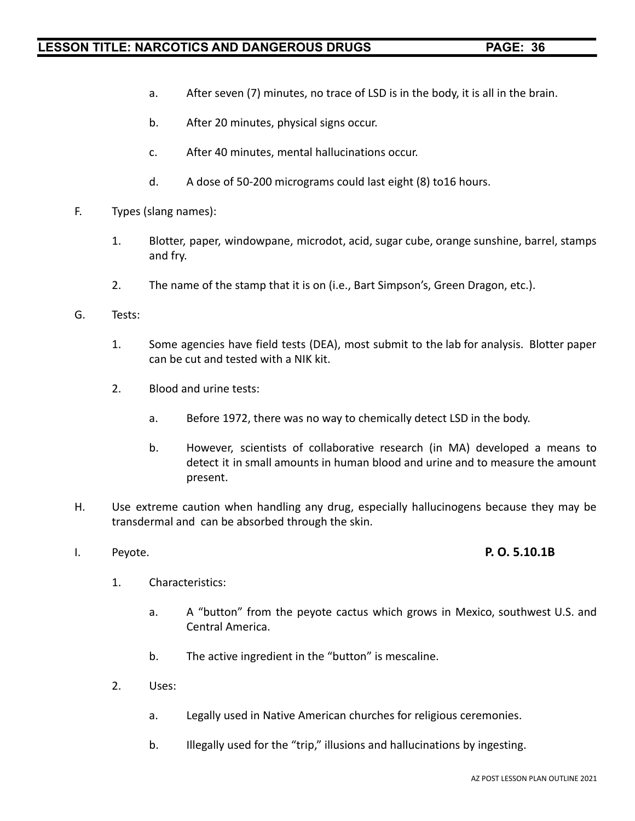- a. After seven (7) minutes, no trace of LSD is in the body, it is all in the brain.
- b. After 20 minutes, physical signs occur.
- c. After 40 minutes, mental hallucinations occur.
- d. A dose of 50-200 micrograms could last eight (8) to16 hours.
- F. Types (slang names):
	- 1. Blotter, paper, windowpane, microdot, acid, sugar cube, orange sunshine, barrel, stamps and fry.
	- 2. The name of the stamp that it is on (i.e., Bart Simpson's, Green Dragon, etc.).
- G. Tests:
	- 1. Some agencies have field tests (DEA), most submit to the lab for analysis. Blotter paper can be cut and tested with a NIK kit.
	- 2. Blood and urine tests:
		- a. Before 1972, there was no way to chemically detect LSD in the body.
		- b. However, scientists of collaborative research (in MA) developed a means to detect it in small amounts in human blood and urine and to measure the amount present.
- H. Use extreme caution when handling any drug, especially hallucinogens because they may be transdermal and can be absorbed through the skin.
- I. Peyote. **P. O. 5.10.1B**

- 1. Characteristics:
	- a. A "button" from the peyote cactus which grows in Mexico, southwest U.S. and Central America.
	- b. The active ingredient in the "button" is mescaline.
- 2. Uses:
	- a. Legally used in Native American churches for religious ceremonies.
	- b. Illegally used for the "trip," illusions and hallucinations by ingesting.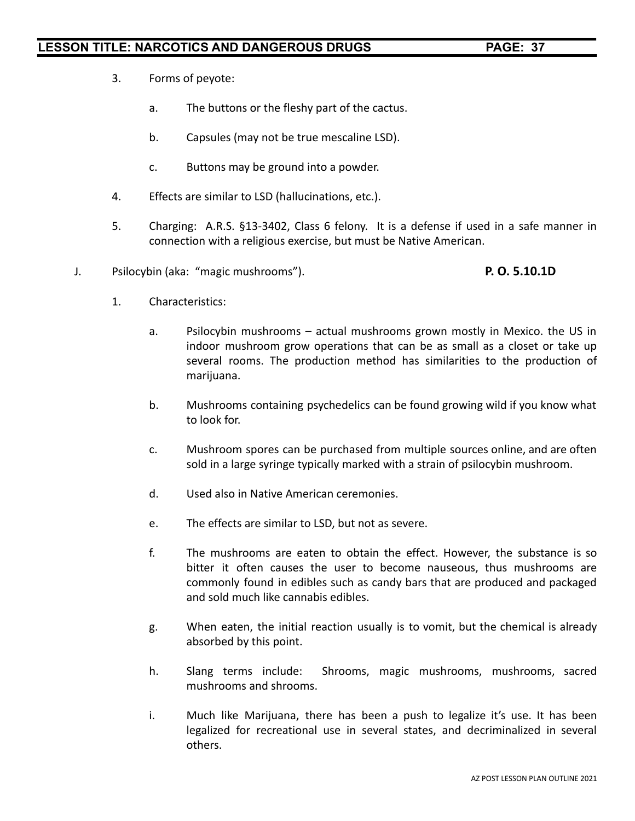- 3. Forms of peyote:
	- a. The buttons or the fleshy part of the cactus.
	- b. Capsules (may not be true mescaline LSD).
	- c. Buttons may be ground into a powder.
- 4. Effects are similar to LSD (hallucinations, etc.).
- 5. Charging: A.R.S. §13-3402, Class 6 felony. It is a defense if used in a safe manner in connection with a religious exercise, but must be Native American.
- J. Psilocybin (aka: "magic mushrooms"). **P. O. 5.10.1D**

- 1. Characteristics:
	- a. Psilocybin mushrooms actual mushrooms grown mostly in Mexico. the US in indoor mushroom grow operations that can be as small as a closet or take up several rooms. The production method has similarities to the production of marijuana.
	- b. Mushrooms containing psychedelics can be found growing wild if you know what to look for.
	- c. Mushroom spores can be purchased from multiple sources online, and are often sold in a large syringe typically marked with a strain of psilocybin mushroom.
	- d. Used also in Native American ceremonies.
	- e. The effects are similar to LSD, but not as severe.
	- f. The mushrooms are eaten to obtain the effect. However, the substance is so bitter it often causes the user to become nauseous, thus mushrooms are commonly found in edibles such as candy bars that are produced and packaged and sold much like cannabis edibles.
	- g. When eaten, the initial reaction usually is to vomit, but the chemical is already absorbed by this point.
	- h. Slang terms include: Shrooms, magic mushrooms, mushrooms, sacred mushrooms and shrooms.
	- i. Much like Marijuana, there has been a push to legalize it's use. It has been legalized for recreational use in several states, and decriminalized in several others.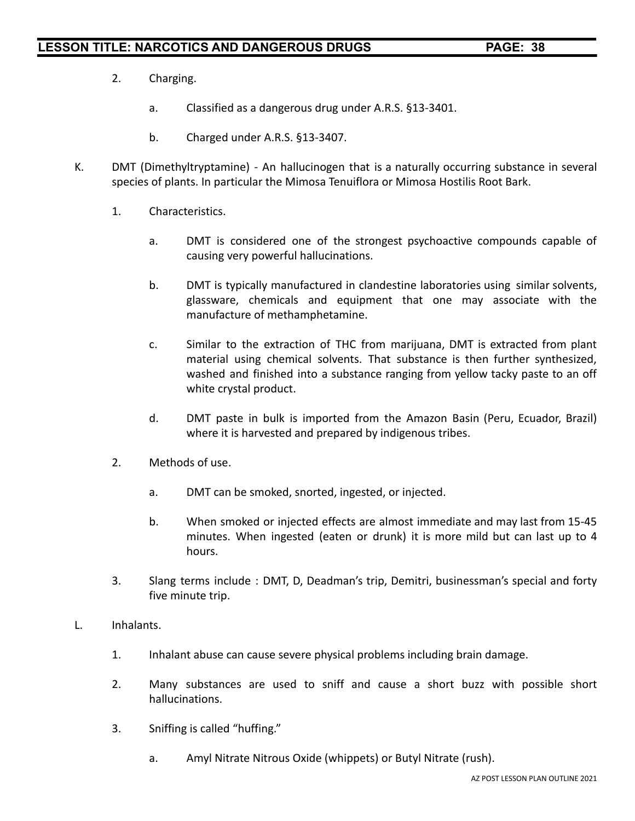- 2. Charging.
	- a. Classified as a dangerous drug under A.R.S. §13-3401.
	- b. Charged under A.R.S. §13-3407.
- K. DMT (Dimethyltryptamine) An hallucinogen that is a naturally occurring substance in several species of plants. In particular the Mimosa Tenuiflora or Mimosa Hostilis Root Bark.
	- 1. Characteristics.
		- a. DMT is considered one of the strongest psychoactive compounds capable of causing very powerful hallucinations.
		- b. DMT is typically manufactured in clandestine laboratories using similar solvents, glassware, chemicals and equipment that one may associate with the manufacture of methamphetamine.
		- c. Similar to the extraction of THC from marijuana, DMT is extracted from plant material using chemical solvents. That substance is then further synthesized, washed and finished into a substance ranging from yellow tacky paste to an off white crystal product.
		- d. DMT paste in bulk is imported from the Amazon Basin (Peru, Ecuador, Brazil) where it is harvested and prepared by indigenous tribes.
	- 2. Methods of use.
		- a. DMT can be smoked, snorted, ingested, or injected.
		- b. When smoked or injected effects are almost immediate and may last from 15-45 minutes. When ingested (eaten or drunk) it is more mild but can last up to 4 hours.
	- 3. Slang terms include : DMT, D, Deadman's trip, Demitri, businessman's special and forty five minute trip.
- L. Inhalants.
	- 1. Inhalant abuse can cause severe physical problems including brain damage.
	- 2. Many substances are used to sniff and cause a short buzz with possible short hallucinations.
	- 3. Sniffing is called "huffing."
		- a. Amyl Nitrate Nitrous Oxide (whippets) or Butyl Nitrate (rush).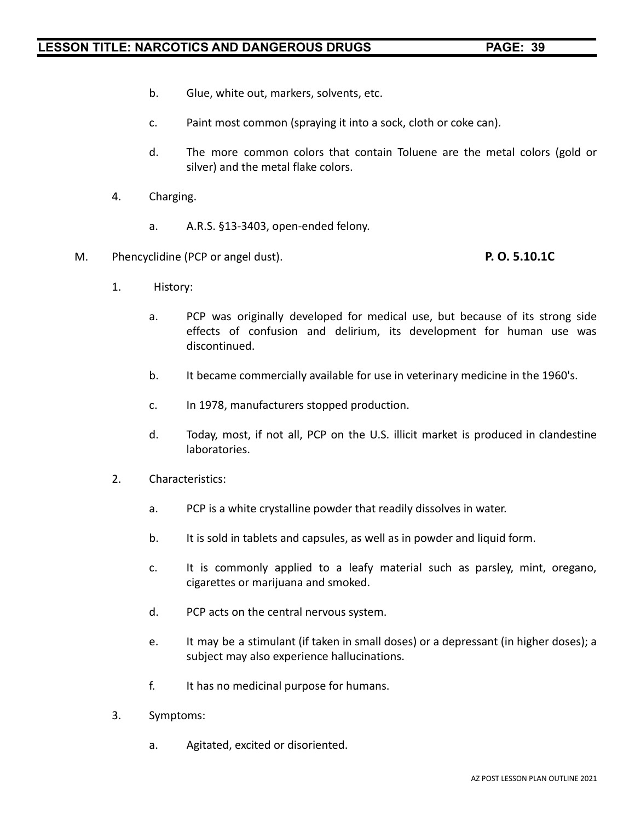- b. Glue, white out, markers, solvents, etc.
- c. Paint most common (spraying it into a sock, cloth or coke can).
- d. The more common colors that contain Toluene are the metal colors (gold or silver) and the metal flake colors.
- 4. Charging.
	- a. A.R.S. §13-3403, open-ended felony.
- M. Phencyclidine (PCP or angel dust). **P. O. 5.10.1C**

- 1. History:
	- a. PCP was originally developed for medical use, but because of its strong side effects of confusion and delirium, its development for human use was discontinued.
	- b. It became commercially available for use in veterinary medicine in the 1960's.
	- c. In 1978, manufacturers stopped production.
	- d. Today, most, if not all, PCP on the U.S. illicit market is produced in clandestine laboratories.
- 2. Characteristics:
	- a. PCP is a white crystalline powder that readily dissolves in water.
	- b. It is sold in tablets and capsules, as well as in powder and liquid form.
	- c. It is commonly applied to a leafy material such as parsley, mint, oregano, cigarettes or marijuana and smoked.
	- d. PCP acts on the central nervous system.
	- e. It may be a stimulant (if taken in small doses) or a depressant (in higher doses); a subject may also experience hallucinations.
	- f. It has no medicinal purpose for humans.
- 3. Symptoms:
	- a. Agitated, excited or disoriented.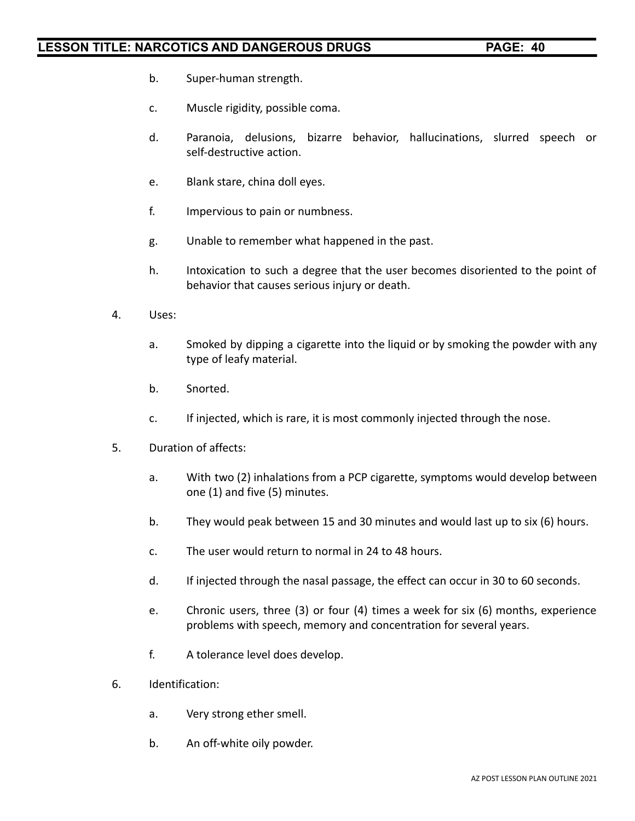- b. Super-human strength.
- c. Muscle rigidity, possible coma.
- d. Paranoia, delusions, bizarre behavior, hallucinations, slurred speech or self-destructive action.
- e. Blank stare, china doll eyes.
- f. Impervious to pain or numbness.
- g. Unable to remember what happened in the past.
- h. Intoxication to such a degree that the user becomes disoriented to the point of behavior that causes serious injury or death.
- 4. Uses:
	- a. Smoked by dipping a cigarette into the liquid or by smoking the powder with any type of leafy material.
	- b. Snorted.
	- c. If injected, which is rare, it is most commonly injected through the nose.
- 5. Duration of affects:
	- a. With two (2) inhalations from a PCP cigarette, symptoms would develop between one (1) and five (5) minutes.
	- b. They would peak between 15 and 30 minutes and would last up to six (6) hours.
	- c. The user would return to normal in 24 to 48 hours.
	- d. If injected through the nasal passage, the effect can occur in 30 to 60 seconds.
	- e. Chronic users, three (3) or four (4) times a week for six (6) months, experience problems with speech, memory and concentration for several years.
	- f. A tolerance level does develop.
- 6. Identification:
	- a. Very strong ether smell.
	- b. An off-white oily powder.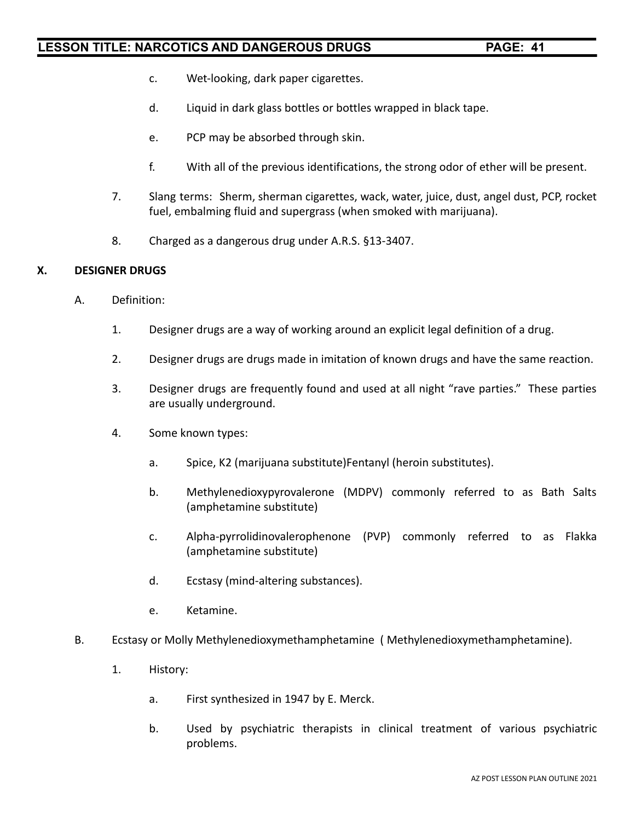- c. Wet-looking, dark paper cigarettes.
- d. Liquid in dark glass bottles or bottles wrapped in black tape.
- e. PCP may be absorbed through skin.
- f. With all of the previous identifications, the strong odor of ether will be present.
- 7. Slang terms: Sherm, sherman cigarettes, wack, water, juice, dust, angel dust, PCP, rocket fuel, embalming fluid and supergrass (when smoked with marijuana).
- 8. Charged as a dangerous drug under A.R.S. §13-3407.

### **X. DESIGNER DRUGS**

- A. Definition:
	- 1. Designer drugs are a way of working around an explicit legal definition of a drug.
	- 2. Designer drugs are drugs made in imitation of known drugs and have the same reaction.
	- 3. Designer drugs are frequently found and used at all night "rave parties." These parties are usually underground.
	- 4. Some known types:
		- a. Spice, K2 (marijuana substitute)Fentanyl (heroin substitutes).
		- b. Methylenedioxypyrovalerone (MDPV) commonly referred to as Bath Salts (amphetamine substitute)
		- c. Alpha-pyrrolidinovalerophenone (PVP) commonly referred to as Flakka (amphetamine substitute)
		- d. Ecstasy (mind-altering substances).
		- e. Ketamine.
- B. Ecstasy or Molly Methylenedioxymethamphetamine ( Methylenedioxymethamphetamine).
	- 1. History:
		- a. First synthesized in 1947 by E. Merck.
		- b. Used by psychiatric therapists in clinical treatment of various psychiatric problems.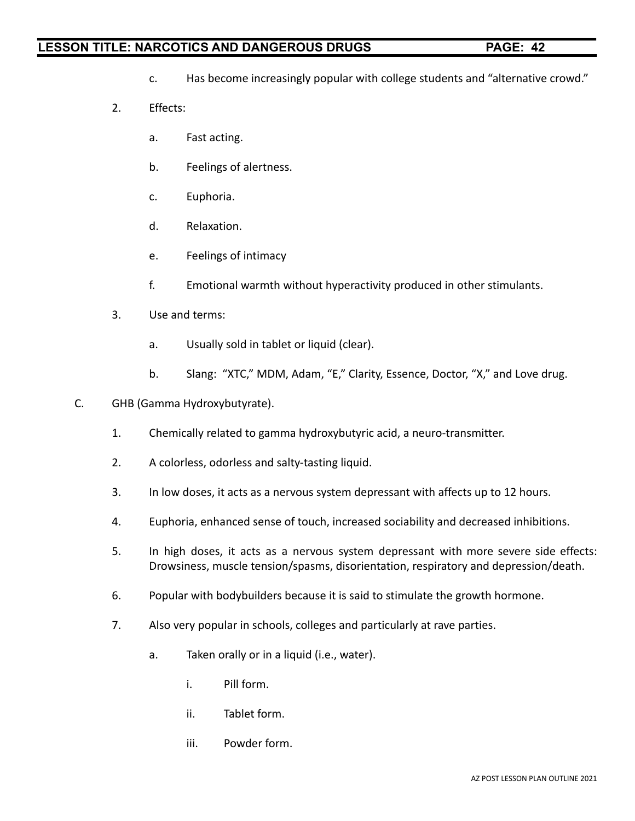- c. Has become increasingly popular with college students and "alternative crowd."
- 2. Effects:
	- a. Fast acting.
	- b. Feelings of alertness.
	- c. Euphoria.
	- d. Relaxation.
	- e. Feelings of intimacy
	- f. Emotional warmth without hyperactivity produced in other stimulants.
- 3. Use and terms:
	- a. Usually sold in tablet or liquid (clear).
	- b. Slang: "XTC," MDM, Adam, "E," Clarity, Essence, Doctor, "X," and Love drug.
- C. GHB (Gamma Hydroxybutyrate).
	- 1. Chemically related to gamma hydroxybutyric acid, a neuro-transmitter.
	- 2. A colorless, odorless and salty-tasting liquid.
	- 3. In low doses, it acts as a nervous system depressant with affects up to 12 hours.
	- 4. Euphoria, enhanced sense of touch, increased sociability and decreased inhibitions.
	- 5. In high doses, it acts as a nervous system depressant with more severe side effects: Drowsiness, muscle tension/spasms, disorientation, respiratory and depression/death.
	- 6. Popular with bodybuilders because it is said to stimulate the growth hormone.
	- 7. Also very popular in schools, colleges and particularly at rave parties.
		- a. Taken orally or in a liquid (i.e., water).
			- i. Pill form.
			- ii. Tablet form.
			- iii. Powder form.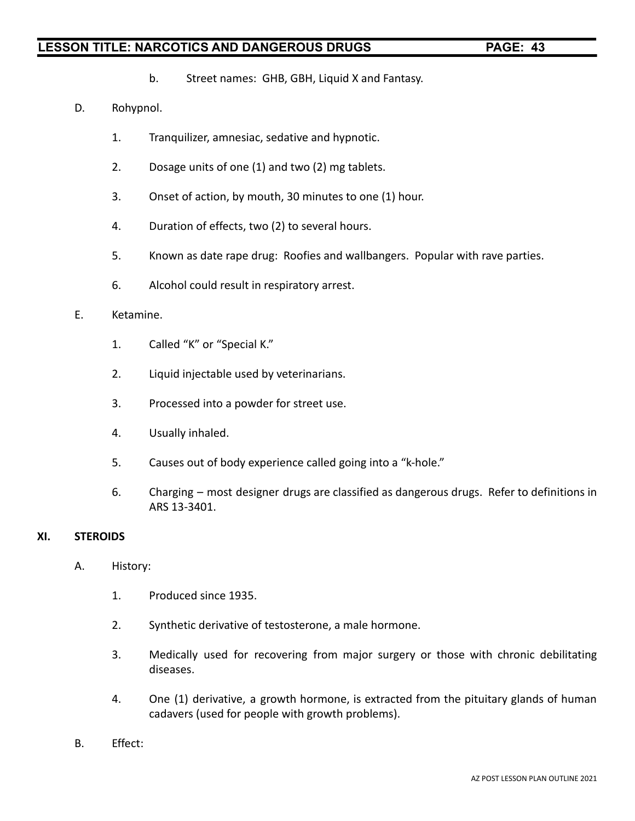- b. Street names: GHB, GBH, Liquid X and Fantasy.
- D. Rohypnol.
	- 1. Tranquilizer, amnesiac, sedative and hypnotic.
	- 2. Dosage units of one (1) and two (2) mg tablets.
	- 3. Onset of action, by mouth, 30 minutes to one (1) hour.
	- 4. Duration of effects, two (2) to several hours.
	- 5. Known as date rape drug: Roofies and wallbangers. Popular with rave parties.
	- 6. Alcohol could result in respiratory arrest.

### E. Ketamine.

- 1. Called "K" or "Special K."
- 2. Liquid injectable used by veterinarians.
- 3. Processed into a powder for street use.
- 4. Usually inhaled.
- 5. Causes out of body experience called going into a "k-hole."
- 6. Charging most designer drugs are classified as dangerous drugs. Refer to definitions in ARS 13-3401.

#### **XI. STEROIDS**

- A. History:
	- 1. Produced since 1935.
	- 2. Synthetic derivative of testosterone, a male hormone.
	- 3. Medically used for recovering from major surgery or those with chronic debilitating diseases.
	- 4. One (1) derivative, a growth hormone, is extracted from the pituitary glands of human cadavers (used for people with growth problems).
- B. Effect: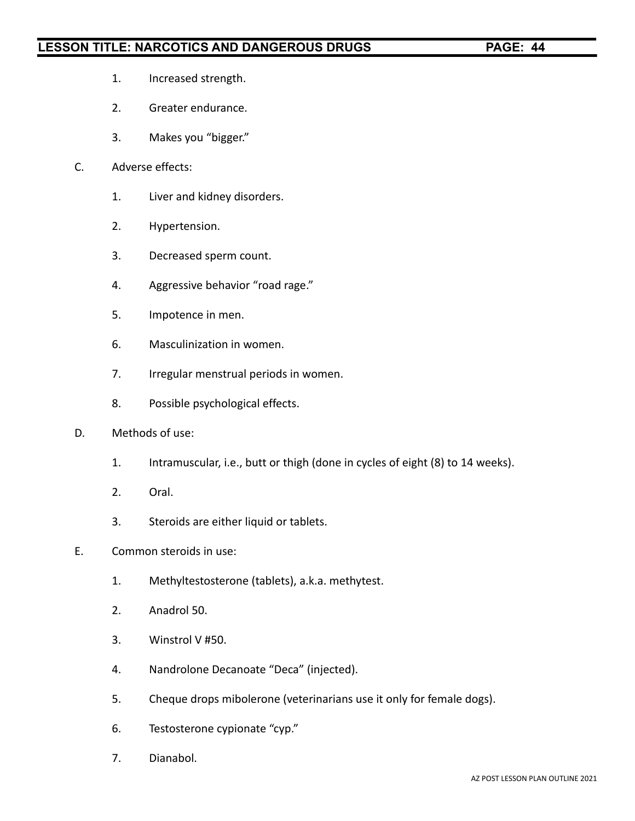- 1. Increased strength.
- 2. Greater endurance.
- 3. Makes you "bigger."
- C. Adverse effects:
	- 1. Liver and kidney disorders.
	- 2. Hypertension.
	- 3. Decreased sperm count.
	- 4. Aggressive behavior "road rage."
	- 5. Impotence in men.
	- 6. Masculinization in women.
	- 7. Irregular menstrual periods in women.
	- 8. Possible psychological effects.
- D. Methods of use:
	- 1. Intramuscular, i.e., butt or thigh (done in cycles of eight (8) to 14 weeks).
	- 2. Oral.
	- 3. Steroids are either liquid or tablets.
- E. Common steroids in use:
	- 1. Methyltestosterone (tablets), a.k.a. methytest.
	- 2. Anadrol 50.
	- 3. Winstrol V #50.
	- 4. Nandrolone Decanoate "Deca" (injected).
	- 5. Cheque drops mibolerone (veterinarians use it only for female dogs).
	- 6. Testosterone cypionate "cyp."
	- 7. Dianabol.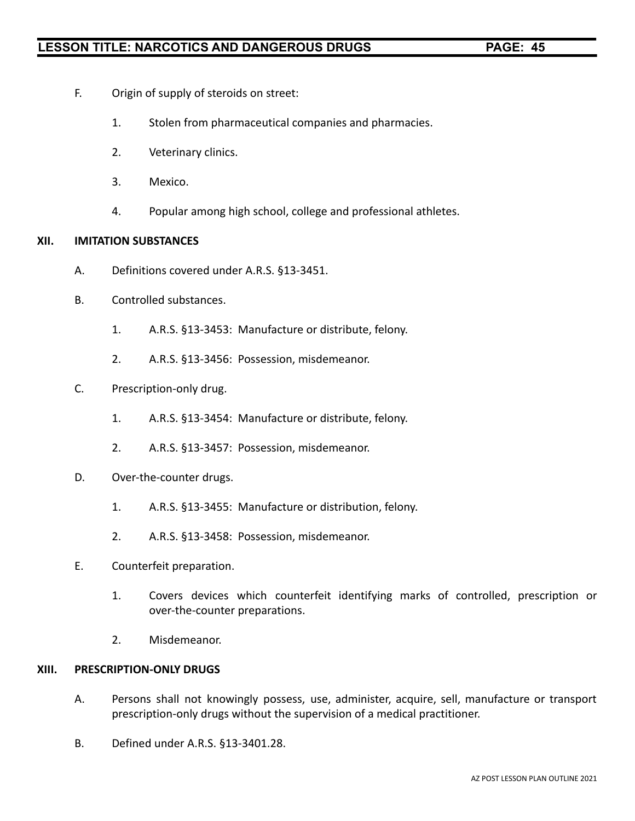- F. Origin of supply of steroids on street:
	- 1. Stolen from pharmaceutical companies and pharmacies.
	- 2. Veterinary clinics.
	- 3. Mexico.
	- 4. Popular among high school, college and professional athletes.

#### **XII. IMITATION SUBSTANCES**

- A. Definitions covered under A.R.S. §13-3451.
- B. Controlled substances.
	- 1. A.R.S. §13-3453: Manufacture or distribute, felony.
	- 2. A.R.S. §13-3456: Possession, misdemeanor.
- C. Prescription-only drug.
	- 1. A.R.S. §13-3454: Manufacture or distribute, felony.
	- 2. A.R.S. §13-3457: Possession, misdemeanor.
- D. Over-the-counter drugs.
	- 1. A.R.S. §13-3455: Manufacture or distribution, felony.
	- 2. A.R.S. §13-3458: Possession, misdemeanor.
- E. Counterfeit preparation.
	- 1. Covers devices which counterfeit identifying marks of controlled, prescription or over-the-counter preparations.
	- 2. Misdemeanor.

#### **XIII. PRESCRIPTION-ONLY DRUGS**

- A. Persons shall not knowingly possess, use, administer, acquire, sell, manufacture or transport prescription-only drugs without the supervision of a medical practitioner.
- B. Defined under A.R.S. §13-3401.28.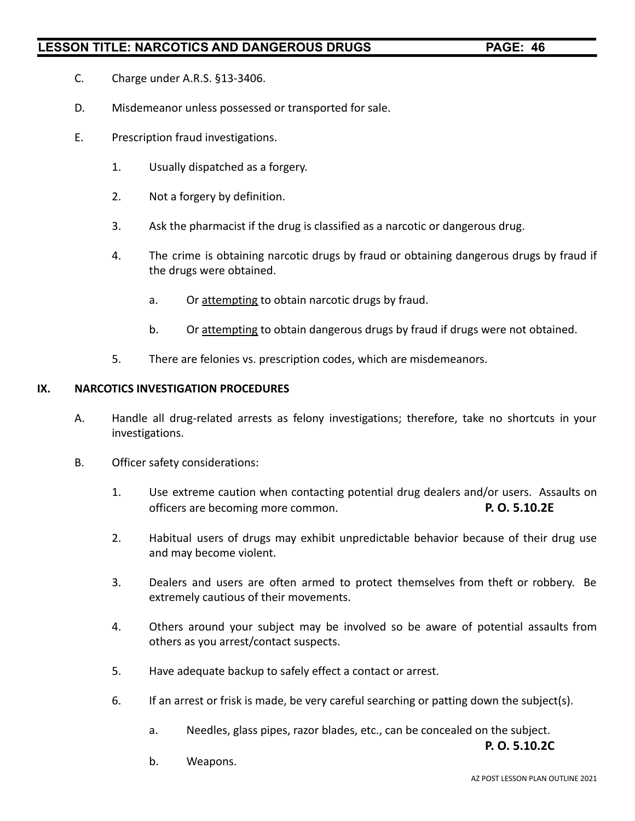- C. Charge under A.R.S. §13-3406.
- D. Misdemeanor unless possessed or transported for sale.
- E. Prescription fraud investigations.
	- 1. Usually dispatched as a forgery.
	- 2. Not a forgery by definition.
	- 3. Ask the pharmacist if the drug is classified as a narcotic or dangerous drug.
	- 4. The crime is obtaining narcotic drugs by fraud or obtaining dangerous drugs by fraud if the drugs were obtained.
		- a. Or attempting to obtain narcotic drugs by fraud.
		- b. Or attempting to obtain dangerous drugs by fraud if drugs were not obtained.
	- 5. There are felonies vs. prescription codes, which are misdemeanors.

#### **IX. NARCOTICS INVESTIGATION PROCEDURES**

- A. Handle all drug-related arrests as felony investigations; therefore, take no shortcuts in your investigations.
- B. Officer safety considerations:
	- 1. Use extreme caution when contacting potential drug dealers and/or users. Assaults on officers are becoming more common. **P. O. 5.10.2E**
	- 2. Habitual users of drugs may exhibit unpredictable behavior because of their drug use and may become violent.
	- 3. Dealers and users are often armed to protect themselves from theft or robbery. Be extremely cautious of their movements.
	- 4. Others around your subject may be involved so be aware of potential assaults from others as you arrest/contact suspects.
	- 5. Have adequate backup to safely effect a contact or arrest.
	- 6. If an arrest or frisk is made, be very careful searching or patting down the subject(s).
		- a. Needles, glass pipes, razor blades, etc., can be concealed on the subject.

**P. O. 5.10.2C**

b. Weapons.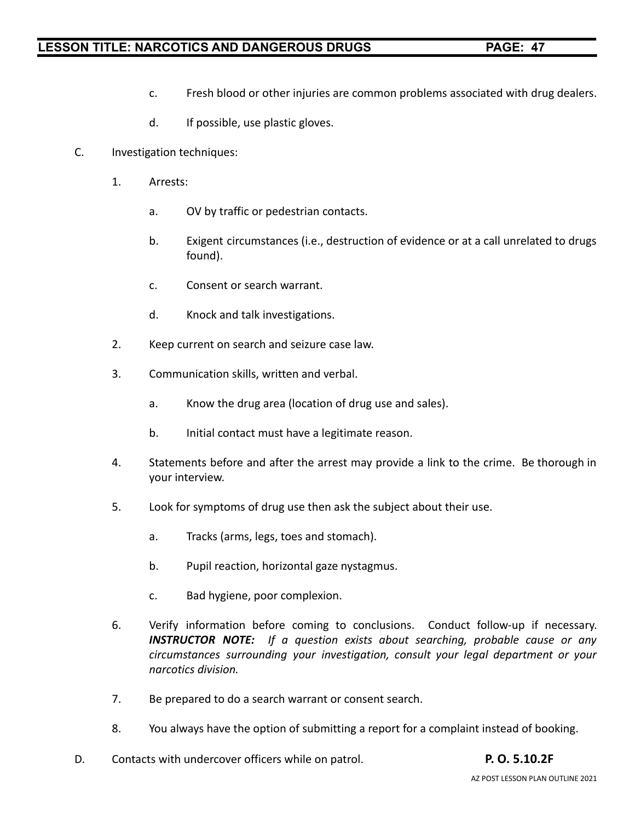- c. Fresh blood or other injuries are common problems associated with drug dealers.
- d. If possible, use plastic gloves.
- C. Investigation techniques:
	- 1. Arrests:
		- a. OV by traffic or pedestrian contacts.
		- b. Exigent circumstances (i.e., destruction of evidence or at a call unrelated to drugs found).
		- c. Consent or search warrant.
		- d. Knock and talk investigations.
	- 2. Keep current on search and seizure case law.
	- 3. Communication skills, written and verbal.
		- a. Know the drug area (location of drug use and sales).
		- b. Initial contact must have a legitimate reason.
	- 4. Statements before and after the arrest may provide a link to the crime. Be thorough in your interview.
	- 5. Look for symptoms of drug use then ask the subject about their use.
		- a. Tracks (arms, legs, toes and stomach).
		- b. Pupil reaction, horizontal gaze nystagmus.
		- c. Bad hygiene, poor complexion.
	- 6. Verify information before coming to conclusions. Conduct follow-up if necessary. *INSTRUCTOR NOTE: If a question exists about searching, probable cause or any circumstances surrounding your investigation, consult your legal department or your narcotics division.*
	- 7. Be prepared to do a search warrant or consent search.
	- 8. You always have the option of submitting a report for a complaint instead of booking.
- D. Contacts with undercover officers while on patrol. **P. O. 5.10.2F**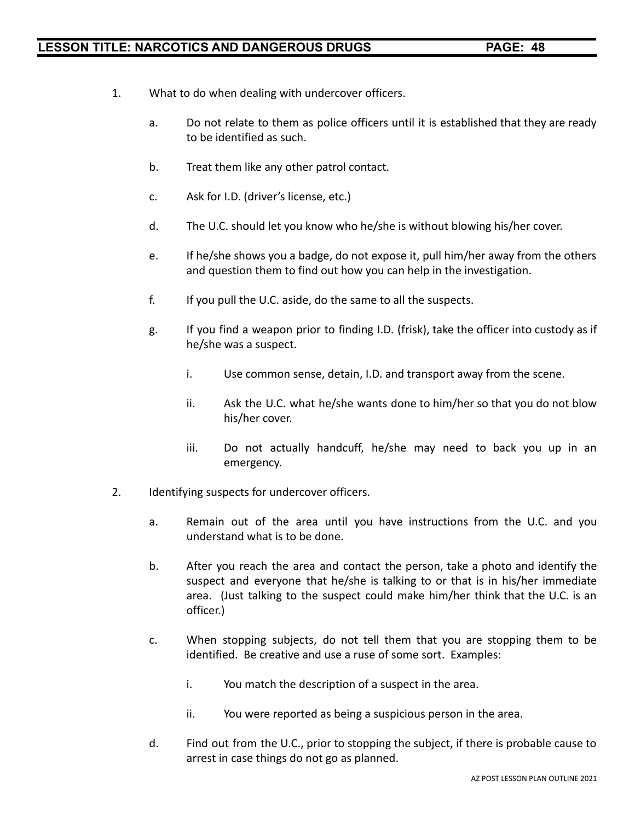- 1. What to do when dealing with undercover officers.
	- a. Do not relate to them as police officers until it is established that they are ready to be identified as such.
	- b. Treat them like any other patrol contact.
	- c. Ask for I.D. (driver's license, etc.)
	- d. The U.C. should let you know who he/she is without blowing his/her cover.
	- e. If he/she shows you a badge, do not expose it, pull him/her away from the others and question them to find out how you can help in the investigation.
	- f. If you pull the U.C. aside, do the same to all the suspects.
	- g. If you find a weapon prior to finding I.D. (frisk), take the officer into custody as if he/she was a suspect.
		- i. Use common sense, detain, I.D. and transport away from the scene.
		- ii. Ask the U.C. what he/she wants done to him/her so that you do not blow his/her cover.
		- iii. Do not actually handcuff, he/she may need to back you up in an emergency.
- 2. Identifying suspects for undercover officers.
	- a. Remain out of the area until you have instructions from the U.C. and you understand what is to be done.
	- b. After you reach the area and contact the person, take a photo and identify the suspect and everyone that he/she is talking to or that is in his/her immediate area. (Just talking to the suspect could make him/her think that the U.C. is an officer.)
	- c. When stopping subjects, do not tell them that you are stopping them to be identified. Be creative and use a ruse of some sort. Examples:
		- i. You match the description of a suspect in the area.
		- ii. You were reported as being a suspicious person in the area.
	- d. Find out from the U.C., prior to stopping the subject, if there is probable cause to arrest in case things do not go as planned.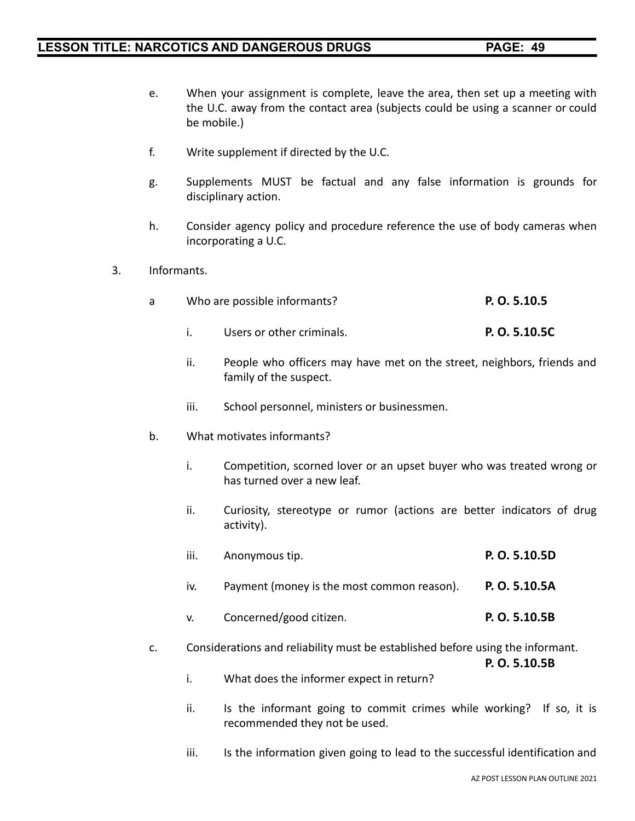- e. When your assignment is complete, leave the area, then set up a meeting with the U.C. away from the contact area (subjects could be using a scanner or could be mobile.)
- f. Write supplement if directed by the U.C.
- g. Supplements MUST be factual and any false information is grounds for disciplinary action.
- h. Consider agency policy and procedure reference the use of body cameras when incorporating a U.C.
- 3. Informants.
	- a Who are possible informants? **P. O. 5.10.5**
		- i. Users or other criminals. **P. O. 5.10.5C**
		- ii. People who officers may have met on the street, neighbors, friends and family of the suspect.
		- iii. School personnel, ministers or businessmen.
	- b. What motivates informants?
		- i. Competition, scorned lover or an upset buyer who was treated wrong or has turned over a new leaf.
		- ii. Curiosity, stereotype or rumor (actions are better indicators of drug activity).

|  | Anonymous tip. | P. O. 5.10.5D |
|--|----------------|---------------|
|--|----------------|---------------|

- iv. Payment (money is the most common reason). **P. O. 5.10.5A**
- v. Concerned/good citizen. **P. O. 5.10.5B**
- c. Considerations and reliability must be established before using the informant.

**P. O. 5.10.5B**

- i. What does the informer expect in return?
- ii. Is the informant going to commit crimes while working? If so, it is recommended they not be used.
- iii. Is the information given going to lead to the successful identification and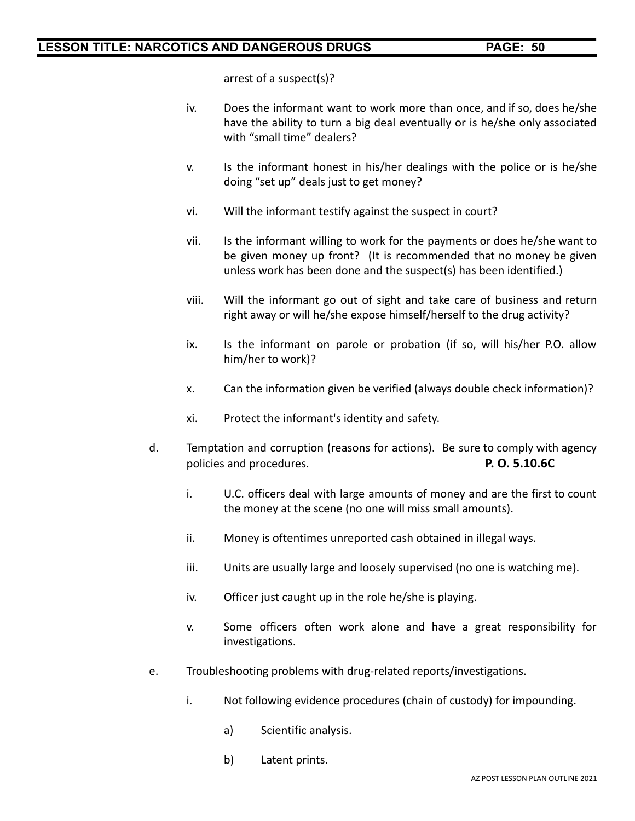arrest of a suspect(s)?

- iv. Does the informant want to work more than once, and if so, does he/she have the ability to turn a big deal eventually or is he/she only associated with "small time" dealers?
- v. Is the informant honest in his/her dealings with the police or is he/she doing "set up" deals just to get money?
- vi. Will the informant testify against the suspect in court?
- vii. Is the informant willing to work for the payments or does he/she want to be given money up front? (It is recommended that no money be given unless work has been done and the suspect(s) has been identified.)
- viii. Will the informant go out of sight and take care of business and return right away or will he/she expose himself/herself to the drug activity?
- ix. Is the informant on parole or probation (if so, will his/her P.O. allow him/her to work)?
- x. Can the information given be verified (always double check information)?
- xi. Protect the informant's identity and safety.
- d. Temptation and corruption (reasons for actions). Be sure to comply with agency policies and procedures. **P. O. 5.10.6C**
	- i. U.C. officers deal with large amounts of money and are the first to count the money at the scene (no one will miss small amounts).
	- ii. Money is oftentimes unreported cash obtained in illegal ways.
	- iii. Units are usually large and loosely supervised (no one is watching me).
	- iv. Officer just caught up in the role he/she is playing.
	- v. Some officers often work alone and have a great responsibility for investigations.
- e. Troubleshooting problems with drug-related reports/investigations.
	- i. Not following evidence procedures (chain of custody) for impounding.
		- a) Scientific analysis.
		- b) Latent prints.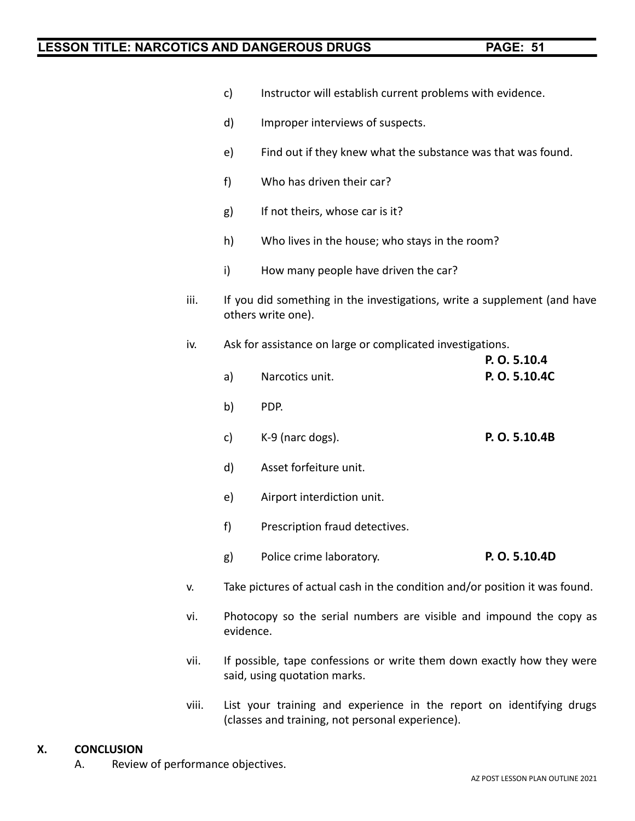|      | c)                                                                                                     | Instructor will establish current problems with evidence.                                      |               |  |  |  |
|------|--------------------------------------------------------------------------------------------------------|------------------------------------------------------------------------------------------------|---------------|--|--|--|
|      | d)                                                                                                     | Improper interviews of suspects.                                                               |               |  |  |  |
|      | e)                                                                                                     | Find out if they knew what the substance was that was found.                                   |               |  |  |  |
|      | f)                                                                                                     | Who has driven their car?                                                                      |               |  |  |  |
|      | g)                                                                                                     | If not theirs, whose car is it?                                                                |               |  |  |  |
|      | h)                                                                                                     | Who lives in the house; who stays in the room?                                                 |               |  |  |  |
|      | i)                                                                                                     | How many people have driven the car?                                                           |               |  |  |  |
| iii. |                                                                                                        | If you did something in the investigations, write a supplement (and have<br>others write one). |               |  |  |  |
| iv.  | Ask for assistance on large or complicated investigations.<br>P. O. 5.10.4                             |                                                                                                |               |  |  |  |
|      | a)                                                                                                     | Narcotics unit.                                                                                | P.O.5.10.4C   |  |  |  |
|      | b)                                                                                                     | PDP.                                                                                           |               |  |  |  |
|      | $\mathsf{c})$                                                                                          | K-9 (narc dogs).                                                                               | P. O. 5.10.4B |  |  |  |
|      | d)                                                                                                     | Asset forfeiture unit.                                                                         |               |  |  |  |
|      | e)                                                                                                     | Airport interdiction unit.                                                                     |               |  |  |  |
|      | f)                                                                                                     | Prescription fraud detectives.                                                                 |               |  |  |  |
|      | g)                                                                                                     | Police crime laboratory.                                                                       | P. O. 5.10.4D |  |  |  |
| V.   | Take pictures of actual cash in the condition and/or position it was found.                            |                                                                                                |               |  |  |  |
| vi.  | Photocopy so the serial numbers are visible and impound the copy as<br>evidence.                       |                                                                                                |               |  |  |  |
| vii. | If possible, tape confessions or write them down exactly how they were<br>said, using quotation marks. |                                                                                                |               |  |  |  |

viii. List your training and experience in the report on identifying drugs (classes and training, not personal experience).

## **X. CONCLUSION**

A. Review of performance objectives.